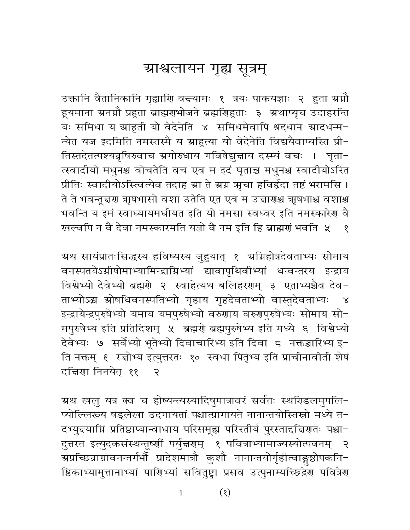## ग्राश्वलायन गृह्य सूत्रम्

उक्तानि वैतानिकानि गृह्याणि वन्त्यामः १ त्रयः पाकयज्ञाः २ हुता ग्रग्नौ हूयमाना ग्रनग्नौ प्रहुता ब्राह्मराभोजने ब्रह्मणिहुताः ३ अथाप्यृच उदाहरन्ति यः समिधा य ग्राहुती यो वेदेनेति ४ समिधमेवापि श्रद्दधान ग्रादधन्म-न्येत यज इदमिति नमस्तस्मै य ग्राहुत्या यो वेदेनेति विद्ययैवाप्यस्ति प्री-तिस्तदेतत्पश्यन्नृषिरुवाच ग्रगोरुधाय गविषेद्युत्ताय दस्म्यं वचः । घृता-त्स्वादीयो मधुनश्च वोचतेति वच एव म इदं घृताच्च मधुनश्च स्वादीयोऽस्ति प्रीतिः स्वादीयोऽस्त्वित्येव तदाह स्रा ते स्रग्न ऋचा हविर्हृदा तष्टं भरामसि । ते ते भवन्तून्नरण ऋषभासो वशा उतेति एत एव म उन्नारणश्च ऋषभाश्च वशाश्च भवन्ति य इमं स्वाध्यायमधीयत इति यो नमसा स्वध्वर इति नमस्कारेण वै खल्वपि न वै देवा नमस्कारमति यज्ञो वै नम इति हि ब्राह्मणं भवति ५  $\sqrt{2}$ 

ग्रथ सायंप्रातःसिद्धस्य हविष्यस्य जुहुयात् १ ग्रम्रिहोत्रदेवताभ्यः सोमाय वनस्पतयेऽग्नीषोमाभ्यामिन्द्राग्निभ्यां द्यावापृथिवीभ्यां धन्वन्तरय इन्द्राय विश्वेभ्यो देवेभ्यो ब्रह्मणे २ स्वाहेत्यथ बलिहरणम् ३ एताभ्यश्चैव देव-ताभ्योऽद्ध स्रोषधिवनस्पतिभ्यो गृहाय गृहदेवताभ्यो वास्तुदेवताभ्यः  $\lambda$ इन्द्रायेन्द्रपुरुषेभ्यो यमाय यमपुरुषेभ्यो वरुणाय वरुणुपुरुषेभ्यः सोमाय सो-मपुरुषेभ्य इति प्रतिदिशम् ५ ब्रह्मणे ब्रह्मपुरुषेभ्य इति मध्ये ६ विश्वेभ्यो देवेभ्यः ७ सर्वेभ्यो भूतेभ्यो दिवाचारिभ्य इति दिवा ८ नक्तञ्चारिभ्य इ-ति नक्तम् ६ रज्ञोभ्य इत्युत्तरतः १० स्वधा पितृभ्य इति प्राचीनावीती शेषं दचिया निनयेत ११  $\mathcal{R}$ 

ग्रथ खलु यत्र क्व च होष्यन्त्यस्यादिषुमात्रावरं सर्वतः स्थरिडलमुपलि-प्योल्लिरूय षड्लेखा उदगायतां पश्चात्प्रागायते नानान्तयोस्तिस्रो मध्ये त-दभ्युन्त्याम्निं प्रतिष्ठाप्यान्वाधाय परिसमूह्य परिस्तीर्य पुरस्ताद्दिरालाः पश्चा-दुत्तरत इत्युदकसंस्थन्तूर्ष्णीं पर्युन्नगम् १ पवित्राभ्यामाज्यस्योत्पवनम् २ ग्रप्रच्छिन्नाग्रावनन्तर्गर्भौ प्रादेशमात्रौ कुशौ नानान्तयोर्गृहीत्वाङ्गष्ठोपकनि− ष्ठिकाभ्यामुत्तानाभ्यां पाणिभ्यां सवितुष्ट्वा प्रसव उत्पुनाम्यच्छिद्रेण पवित्रेण

> $(8)$  $\mathbf{1}$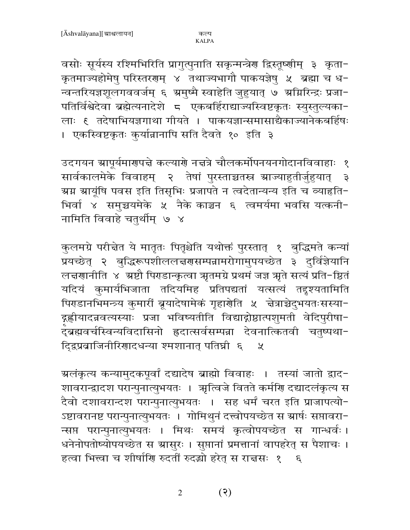वसोः सूर्यस्य रश्मिभिरिति प्रागुत्पुनाति सकृन्मन्त्रेण द्विस्तूष्णीम् ३ कृता-कृतमाज्यहोमेषु परिस्तरगम् ४ तथाज्यभागौ पाकयज्ञेषु ५ ब्रह्मा च ध-न्वन्तरियज्ञशूलगववर्जम् ६ अमुष्मै स्वाहेति जुहुयात् ७ अग्निरिन्द्रः प्रजा-पतिर्विश्वेदेवा ब्रह्मेत्यनादेशे ८ एकबर्हिराद्याज्यस्विष्टकृतः स्युस्तुल्यका-लाः १ तदेषाभियज्ञगाथा गीयते । पाकयज्ञान्समासाद्यैकाज्यानेकबर्हिषः । एकस्विष्टकृतः कुर्यान्नानापि सति दैवते १० इति ३

उदगयन स्रापूर्यमारणपत्ते कल्याणे नत्तत्रे चौलकर्मोपनयनगोदानविवाहाः १ सार्वकालमेके विवाहम् २ तेषां पुरस्ताच्चतस्र स्राज्याहुतीर्जुहुयात् ३ ग्रम ग्रायूंषि पवस इति तिसृभिः प्रजापते न त्वदेतान्यन्य इति च व्याहृति− भिर्वा ४ समुच्चयमेके ५ नैके काञ्चन ६ त्वमर्यमा भवसि यत्कनी-नामिति विवाहे चतुर्थीम् ७ ४

कुलमग्रे परीचेत ये मातृतः पितृश्चेति यथोक्तं पुरस्तात् १ बुद्धिमते कन्यां प्रयच्छेत् २ बुद्धिरूपशीललत्तरासम्पन्नामरोगामुपयच्छेत ३ दुर्विज्ञेयानि लचरणानीति ४ अष्टौ पिराडान्कृत्वा ऋतमग्रे प्रथमं जज्ञ ऋते सत्यं प्रति-ष्ठितं यदियं कुमार्यभिजाता तदियमिह प्रतिपद्यतां यत्सत्यं तद्दृश्यतामिति पिराडानभिमन्त्र्य कुमारीं ब्रूयादेषामेकं गृहार्णेति ५ चेत्राच्चेदुभयतःसस्या-द्ग्रह्णीयादन्नवत्यस्याः प्रजा भविष्यतीति विद्याद्गोष्ठात्पशुमती वेदिपुरीषा--<br>दुब्रह्मवर्चस्विन्यविदासिनो ह्रदात्सर्वसम्पन्ना देवनात्कितवी चतुष्पथा-दिद्रप्रवाजिनीरिणादधन्या श्मशानात् पतिघ्नी ६  $\chi$ 

ग्रलंकृत्य कन्यामुदकपूर्वां दद्यादेष ब्राह्मो विवाहः । तस्यां जातो द्वाद− शावरान्द्रादश परान्पुनात्युभयतः । ऋत्विजे वितते कर्मणि दद्यादलंकृत्य स दैवो दशावरान्दश परान्पुनात्युभयतः । सह धर्मं चरत इति प्राजापत्यो-ऽष्टावरानष्ट परान्पुनात्युभयतः । गोमिथुनं दत्त्वोपयच्छेत स स्रार्षः सप्तावरा-न्सप्त परान्पुनात्युभयतः । मिथः समयं कृत्वोपयच्छेत स गान्धर्वः । धनेनोपतोष्योपयच्छेत स स्रासुरः । सुप्तानां प्रमत्तानां वापहरेत् स पैशाचः । हत्वा भित्त्वा च शीर्षाणि रुदतीं रुदद्धो हरेत् स राचसः १ ६

> $(5)$  $\overline{2}$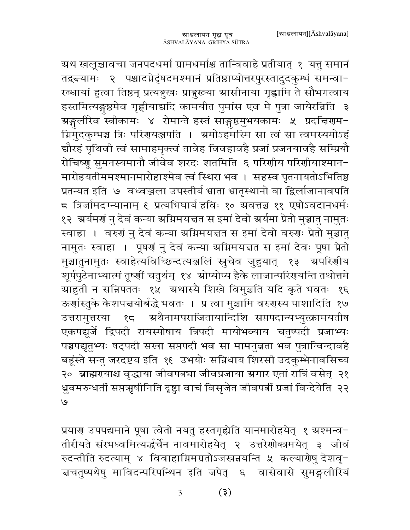ग्रथ खलूञ्चावचा जनपदधर्मा ग्रामधर्माश्च तान्विवाहे प्रतीयात् १ यत्तु समानं तद्वच्यामः २ पश्चादग्नेर्दृषदमश्मानं प्रतिष्ठाप्योत्तरपुरस्तादुदकुम्भं समन्वा-रब्धायां हुत्वा तिष्ठन् प्रत्यङ्गुखः प्राङ्गुरूया स्रासीनाया गृह्णामि ते सौभगत्वाय हस्तमित्यङ्गुष्ठमेव गृह्णीयाद्यदि कामयीत पुमांस एव मे पुत्रा जायेरन्निति ३ ग्रङ्गुलीरेव स्त्रीकामः ४ रोमान्ते हस्तं साङ्गुष्ठमुभयकामः ५ प्रदचिरणम− ग्निमुदकुम्भञ्च त्रिः परिगयञ्जपति । ग्रमोऽहमस्मि सा त्वं सा त्वमस्यमोऽहं द्यौरहं पृथिवी त्वं सामाहमृक्त्वं तावेह विवहावहै प्रजां प्रजनयावहै सम्प्रियौ रोचिष्णू सुमनस्यमानौ जीवेव शरदः शतमिति ६ परिणीय परिणीयाश्मान-मारोहयतीममश्मानमारोहाश्मेव त्वं स्थिरा भव । सहस्व पृतनायतोऽभितिष्ठ प्रतन्यत इति ७ वध्वञ्जला उपस्तीर्य भ्राता भ्रातृस्थानो वा द्विर्लाजानावपति ८ त्रिर्जामदग्न्यानाम् ६ प्रत्यभिघार्य हविः १० ग्रवत्तञ्च ११ एषोऽवदानधर्मः १२) अर्यमणं नु देवं कन्या अग्निमयत्तत स इमां देवो अर्यमा प्रेतो मुञ्चातु नामुतः स्वाहा । वरुणं नु देवं कन्या ग्रग्निमयत्तत स इमां देवो वरुणः प्रेतो मुञ्चातु नामुतः स्वाहा । पूषर्ग नु देवं कन्या अग्निमयत्तत स इमां देवः पूषा प्रेतो मुञ्चातुनामुतः स्वाहेत्यविच्छिन्दत्यञ्जलिं स्नुचेव जुहुयात् १३ अपरिशीय शूर्पपुटेनाभ्यात्मं तूष्णीं चतुर्थम् १४ ग्रोप्योप्य हैके लाजान्परिगयन्ति तथोत्तमे ग्राहुती न सन्निपततः १५ अथास्यै शिखे विमुञ्चति यदि कृते भवतः १६ ऊर्णास्तुके केशपत्तयोर्बद्धे भवतः । प्र त्वा मुञ्चामि वरुगस्य पाशादिति १७ उत्तरामुत्तरया १८ अथैनामपराजितायान्दिशि सप्तपदान्यभ्युत्क्रामयतीष एकपद्यूर्जे द्विपदी रायस्पोषाय त्रिपदी मायोभव्याय चतुष्पदी प्रजाभ्यः पञ्चपद्यृतुभ्यः षट्पदी सखा सप्तपदी भव सा मामनुबता भव पुत्रान्विन्दावहै बहूंस्ते सन्तु जरदष्टय इति १६ उभयोः सन्निधाय शिरसी उदकुम्भेनावसिच्य २० ब्राह्मरायाश्च वृद्धाया जीवपत्नचा जीवप्रजाया ग्रगार एतां रात्रिं वसेत् २१ ध्रुवमरुन्धर्तीं सप्तऋषीनिति दृष्ट्वा वाचं विसृजेत जीवपत्नीं प्रजां विन्देयेति २२  $\mathcal{O}$ 

प्रयाण उपपद्यमाने पूषा त्वेतो नयतु हस्तगृह्येति यानमारोहयेत् १ ग्रश्मन्व-तीरीयते संरभध्वमित्यर्द्धचेन नावमारोहयेत् २ उत्तरेणोक्त्रमयेत् ३ जीवं रुदन्तीति रुदत्याम् ४ विवाहाग्निमग्रतोऽजस्त्र<mark>न्नयन्ति ५ कल्या</mark>णेषु देशवृ− च्चतुष्पथेषु माविदन्परिपन्थिन इति जपेत् ६ वासेवासे सुमङ्गलीरियं

> $(5)$ 3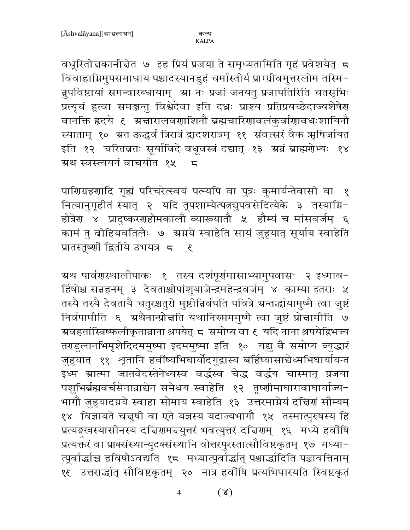वधूरितीचकानीचेत ७ इह प्रियं प्रजया ते समृध्यतामिति गृहं प्रवेशयेत् 5 विवाहाग्निमुपसमाधाय पश्चादस्यानडुहं चर्मास्तीर्य प्राग्ग्रीवमुत्तरलोम तस्मि-न्नुपविष्टायां समन्वारब्धायाम् आ नः प्रजां जनयतु प्रजापतिरिति चतसृभिः प्रत्यृचं हुत्वा समञ्जन्तु विश्वेदेवा इति दधः प्राश्य प्रतिप्रयच्छेदाज्यशेषेण वानक्ति हृदये ६ अचारालवणाशिनौ ब्रह्मचारिणावलंकुर्वाणावधःशायिनौ स्याताम् १० ग्रत ऊद्धर्वं त्रिरात्रं द्वादशरात्रम् ११ संवत्सरं वैक ऋषिर्जायत इति १२ चरितव्रतः सूर्याविदे वधूवस्त्रं दद्यात् १३ अन्नं ब्राह्मगेभ्यः १४ ग्रथ स्वस्त्ययनं वाचयीत १५  $\overline{a}$ 

पाणिग्रहणादि गृह्यं परिचरेत्स्वयं पत्न्यपि वा पुत्रः कुमार्यन्तेवासी वा १ नित्यानुगृहीतं स्यात् २ यदि तूपशाम्येत्पत्नञुपवसेदित्येके ३ तस्याग्नि-होत्रेण ४ प्रादुष्करणहोमकालौ व्याख्यातौ ५ हौम्यं च मांसवर्जम् ६ कामं तु व्रीहियवतिलैः ७ अग्नये स्वाहेति सायं जुहुयात् सूर्याय स्वाहेति प्रातस्तूर्ष्णीं द्वितीये उभयत्र 5 ह

म्रथ पार्वगस्थालीपाकः १ तस्य दर्शपूर्णमासाभ्यामुपवासः २ इध्माब− र्हिषोश्च सन्नहनम् ३ देवताश्चोपांशुयाजेन्द्रमहेन्द्रवर्जम् ४ काम्या इतराः ५ तस्यै तस्यै देवतायै चतुरश्चतुरो मुष्टीन्निर्वपति पवित्रे ग्रन्तर्द्धायामुष्मै त्वा जुष्टं निर्वपामीति ६ अथैनान्प्रोत्तति यथानिरुप्तममुष्मै त्वा जुष्टं प्रोत्तामीति ७ ग्र्यवहतांस्त्रिष्फलीकृतान्नाना श्रपयेत् ८ समोप्य वा ६ यदि नाना श्रपयेद्विभज्य तराडुलानभिमृशेदिदममुष्मा इदममुष्मा इति १० यद्यु वै समोप्य व्युद्धारं जुहुयात् ११ श्रुतानि हर्वीष्यभिघार्योदगुद्वास्य बर्हिष्यासाद्येध्मभिघार्यायन्त इध्म ग्रात्मा जातवेदस्तेनेध्यस्व वर्द्धस्व चेद्ध वर्द्धय चास्मान् प्रजया पशुभिर्ब्रह्मवर्चसेनान्नाद्येन समेधय स्वाहेति १२ तूष्णीमाघारावाघार्याज्य-भागौ जुहुयादग्नये स्वाहा सोमाय स्वाहेति १३ उत्तरमाग्नेयं दत्तिर्णं सौम्यम् १४ विज्ञायते चत्तुषी वा एते यज्ञस्य यदाज्यभागौ १५ तस्मात्पुरुषस्य हि प्रत्यङ्गखस्यासीनस्य दचिरणमन्त्युत्तरं भवत्युत्तरं दचिरणम् १६ मध्ये हर्वाषि प्रत्यक्तरं वा प्राक्संस्थान्युदक्संस्थानि वोत्तरपुरस्तात्सौविष्टकृतम् १७ मध्या-त्पूर्वार्द्धाच हविषोऽवद्यति १८ मध्यात्पूर्वार्द्धात् पश्चार्द्धादिति पञ्चावत्तिनाम् १६ उत्तरार्द्धात् सौविष्टकृतम् २० नात्र हवींषि प्रत्यभिघारयति स्विष्टकृतं

> $(\lambda)$  $\overline{4}$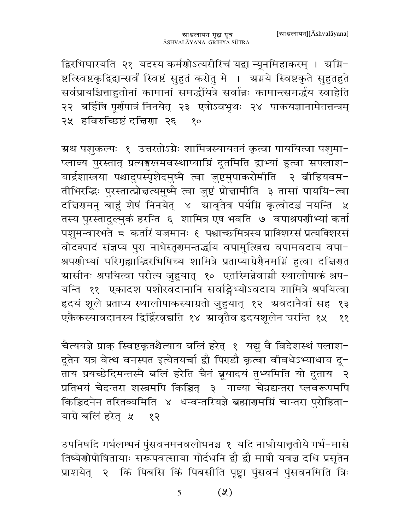द्विरभिघारयति २१ यदस्य कर्मणोऽत्यरीरिचं यद्वा न्यूनमिहाकरम् । अग्नि− ष्टत्स्विष्टकृद्विद्वान्सर्वं स्विष्टं सुहुतं करोतु मे । अग्नये स्विष्टकृते सुहुतहुते सर्वप्रायश्चित्ताहुतीनां कामानां समर्द्धयित्रे सर्वान्नः कामान्त्समर्द्धय स्वाहेति २२ बर्हिषि पूर्णपात्रं निनयेत् २३ एषोऽवभृथः २४ पाकयज्ञानामेतत्तन्त्रम् २५ हविरुच्छिष्टं दत्तिणा २६ १०

ग्रथ पशुकल्पः १ उत्तरतोऽग्नेः शामित्रस्यायतनं कृत्वा पाययित्वा पशुमा-प्लाव्य पुरस्तात् प्रत्यङ्गखमवस्थाप्याम्निं दूतमिति द्वाभ्यां हुत्वा सपलाश-यार्द्रशाखया पश्चादुपस्पृशेदमुष्मै त्वा जुष्टमुपाकरोमीति २ व्रीहियवम− तीभिरद्धिः पुरस्तात्प्रोत्तत्यमुष्मै त्वा जुष्टं प्रोत्तामीति ३ तासां पाययि-त्वा दचिरणमनु बाहुं शेषं निनयेत् ४ आवृतैव पर्यमि कृत्वोदञ्चं नयन्ति ५ तस्य पुरस्तादुल्मुकं हरन्ति ६ शामित्र एष भवति ७ वपाश्रपणीभ्यां कर्ता पशुमन्वारभते ८ कर्तारं यजमानः ६ पश्चाच्छमित्रस्य प्राक्शिरसं प्रत्यक्शिरसं वोदक्पादं संज्ञप्य पुरा नाभेस्तृणमन्तर्द्धाय वपामुत्खिद्य वपामवदाय वपा-श्रपणीभ्यां परिगृह्याद्धिरभिषिच्य शामित्रे प्रताप्याग्रेणैनमग्निं हुत्वा दत्तिरात ग्रासीनः श्रपयित्वा परीत्य जुहुयात् १० एतस्मिन्नेवाग्नौ स्थालीपाकं श्रप− यन्ति ११ एकादश पशोरवदानानि सर्वाङ्गेभ्योऽवदाय शामित्रे श्रपयित्वा हृदयं शूले प्रताप्य स्थालीपाकस्याग्रतो जुहुयात् १२ अवदानैर्वा सह १३ एकैकस्यावदानस्य द्विर्द्विरवद्यति १४ भ्रावृतैव हृदयशूलेन चरन्ति १५ ११

चैत्ययज्ञे प्राक् स्विष्टकृतश्चैत्याय बलिं हरेत् १ यद्यु वै विदेशस्थं पलाश-दूतेन यत्र वेत्थ वनस्पत इत्येतयर्चा द्वौ पिराडौ कृत्वा वीवधेऽभ्याधाय दू-ताय प्रयच्छेदिमन्तस्मै बलिं हरेति चैनं ब्रूयादयं तुभ्यमिति यो दूताय २ प्रतिभयं चेदन्तरा शस्त्रमपि किञ्चित् ३ नाव्या चेन्नद्यन्तरा प्लवरूपमपि किञ्चिदनेन तरितव्यमिति ४ धन्वन्तरियज्ञे ब्रह्मारामग्निं चान्तरा पुरोहिता-याग्रे बलिं हरेत ५ १२

उपनिषदि गर्भलम्भनं पुंसवनमनवलोभनञ्च १ यदि नाधीयात्तृतीये गर्भ-मासे तिष्येणोपोषितायाः सरूपवत्साया गोर्दधनि द्वौ द्वौ माषौ यवञ्च दधि प्रसृतेन प्राशयेत् २ किं पिबसि किं पिबसीति पृष्ट्वा पुंसवनं पुंसवनमिति त्रिः

> $(\lambda)$ 5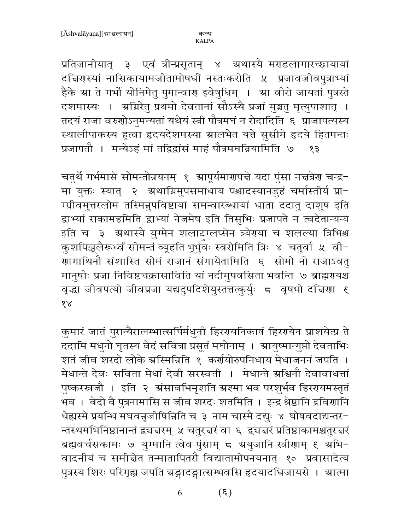प्रतिजानीयात् ३ एवं त्रीन्प्रसृतान् ४ ग्रथास्यै मराडलागारच्छायायां दच्चिणस्यां नासिकायामजीतामोषधीं नस्तःकरोति ५ प्रजावज्जीवपुत्राभ्यां हैके स्रा ते गर्भो योनिमेतु पुमान्वाण इवेषुधिम् । स्रा वीरो जायतां पुत्रस्ते दशमास्यः । अग्निरेतु प्रथमो देवतानां सौऽस्यै प्रजां मुञ्चतु मृत्युपाशात् । तदयं राजा वरुगोऽनुमन्यतां यथेयं स्त्री पौत्रमघं न रोदादिति ६ प्राजापत्यस्य स्थालीपाकस्य हुत्वा हृदयदेशमस्या म्रालभेत यत्ते सुसीमे हृदये हितमन्तः प्रजापतौ । मन्येऽहं मां तद्विद्वांसं माहं पौत्रमघन्नियामिति ७  $58$ 

चतुर्थे गर्भमासे सोमन्तोन्नयनम् १ म्रापूर्यमारणपत्ते यदा पुंसा नत्तत्रेर चन्द्र-मा युक्तः स्यात् २ अथाग्निमुपसमाधाय पश्चादस्यानडुहं चर्मास्तीर्य प्रा-ग्ग्रीवमुत्तरलोम तस्मिनुपविष्टायां समन्वारब्धायां धाता ददातु दाशुष इति द्वाभ्यां राकामहमिति द्वाभ्यां नेजमेष इति तिसृभिः प्रजापते न त्वदेतान्यन्य इति च ३ अथास्यै युग्मेन शलाटग्लप्सेन त्र्येराया च शलल्या त्रिभिश्च कुशपिञ्जलैरूर्ध्वं सीमन्तं व्यूहति भूर्भुवः स्वरोमिति त्रिः ४ चतुर्वा ४ वी− .<br>गागाथिनौ संशास्ति सोमं राजानं संगायेतामिति ६ सोमो नो राजाऽवत् .<br>मानुषीः प्रजा निविष्टचक्रासाविति यां नदीमुपवसिता भवन्ति ७ ब्राह्मरायश्च वृद्धा जीवपत्यो जीवप्रजा यद्यदुपदिशेयुस्तत्तत्कुर्युः ८ वृषभो दत्तिणा ६  $88$ 

कुमारं जातं पुरान्यैरालम्भात्सर्पिर्मधुनी हिररयनिकाषं हिररयेन प्राशयेत्प्र ते .<br>ददामि मधुनो घृतस्य वेदं सवित्रा प्रसूतं मघोनाम् । ग्रायुष्मान्गुप्तो देवताभिः शतं जीव शरदो लोके स्रस्मिन्निति १ कर्णयोरुपनिधाय मेधाजननं जपति । मेधान्ते देवः सविता मेधां देवी सरस्वती । मेधान्ते ग्रश्चिनौ देवावाधत्तां पुष्करस्त्रजौ । इति २ अंसावभिमृशति अश्मा भव परशुर्भव हिररयमस्तृतं ्<br>भव । वेदो वै पुत्रनामासि स जीव शरदः शतमिति । इन्द्र श्रेष्ठानि द्रवि<mark>र</mark>्णानि धेह्यस्मे प्रयन्धि मघवन्नूजीषिन्निति च ३ नाम चास्मै दद्युः ४ घोषवदाद्यन्तर-न्तस्थमभिनिष्ठानान्तं द्व्यज्ञरम् ५ चतुरज्ञरं वा ६ द्व्यज्ञरं प्रतिष्ठाकामश्चतुरज्ञरं ब्रह्मवर्चसकामः ७ युग्मानि त्वेव पुंसाम् ८ ग्रयुजानि स्त्रीणाम् ९ ग्रभि-वादनीयं च समीन्नेत तन्मातापितरौ विद्यातामोपनयनात् १० प्रवासादेत्य पुत्रस्य शिरः परिगृह्य जपति ग्रङ्गादङ्गात्सम्भवसि हृदयादधिजायसे । ग्रात्मा

> $(\xi)$ 6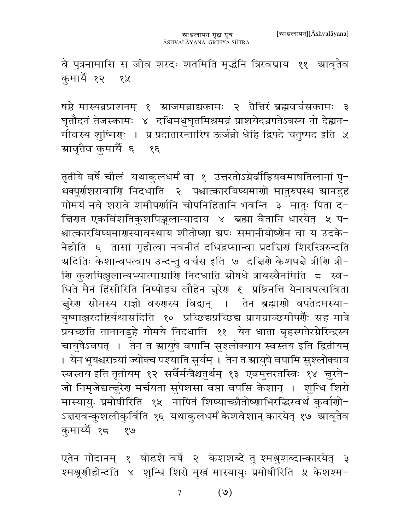वै पुत्रनामासि स जीव शरदः शतमिति मूर्द्धनि त्रिरवघ्राय ११ म्रावृतैव कुमार्यै १२ १५

षष्ठे मास्यन्नप्राशनम् १ स्राजमन्नाद्यकामः २ तैत्तिरं ब्रह्मवर्चसकामः ३ घृतौदनं तेजस्कामः ४ दधिमधुघृतमिश्रमन्नं प्राशयेदन्नपतेऽत्रस्य नो देह्यन− मीवस्य शुष्मिराः । प्र प्रदातारन्तारिष ऊर्जन्नो धेहि द्विपदे चतुष्पद इति ५ ग्रावृतैव कुमार्यै ६ १६

तृतीये वर्षे चौलं यथाकुलधर्मं वा १ उत्तरतोऽग्नेर्व्राहियवमाषतिलानां पृ-थक्पूर्णशरावाणि निदधाति २ पश्चात्कारयिष्यमाणो मातुरुपस्थ स्रानडुहं गोमयं नवे शरावे शमीपर्णानि चोपनिहितानि भवन्ति ३ मातुः पिता द-क्तिणत एकविंशतिकुशपिञ्जलान्यादाय ४ ब्रह्मा वैतानि धारयेत् ४ प− श्चात्कारयिष्यमारास्यावस्थाय शीतोष्णा ग्रपः समानीयोष्णेन वा य उदके-नेहीति ६ तासां गृहीत्वा नवनीतं दधिद्रप्सान्वा प्रदत्तिणं शिरस्त्रिरुन्दति ग्रदितिः केशान्वपत्वाप उन्दन्तु वर्चस इति ७ दच्चिणे केशपद्मे त्रीणि त्री− णि कुशपिञ्जलान्यभ्यात्माग्राणि निदधाति स्रोषधे त्रायस्वैनमिति = स्व− धिते मैनं हिंसीरिति निष्पोड्य लौहेन ज़ुरेण ६ प्रछिनत्ति येनावपत्सविता चुरेण सोमस्य राज्ञो वरुणस्य विद्वान् । तेन ब्रह्माणो वपतेदमस्या-युष्माञ्जरदष्टिर्यथासदिति १० प्रच्छिद्यप्रच्छिद्य प्रागग्राञ्छमीपर्णैः सह मात्रे प्रयच्छति तानानडुहे गोमये निदधाति ११ येन धाता बृहस्पतेरग्नेरिन्द्रस्य चायुषेऽवपत् । तेन त स्रायुषे वपामि सुश्लोक्याय स्वस्तय इति द्वितीयम् । येन भूयश्चरात्र्यां ज्योक्च पश्याति सूर्यम् । तेन त स्रायुषे वपामि सुश्लोक्याय स्वस्तय इति तृतीयम् १२ सर्वैर्मन्त्रैश्चतुर्थम् १३ एवमुत्तरतस्त्रिः १४ ज़ुरते-जो निमृजेद्यत्त्तुरेण मर्चयता सुपेशसा वप्ता वपसि केशान् । शुन्धि शिरो मास्यायुः प्रमोषीरिति १५ नापितं शिष्याच्छीतोष्णाभिरद्भिरवर्थं कुर्वाणो-ऽन्नरावन्कुशलीकुर्विति १६ यथाकुलधर्मं केशवेशान् कारयेत् १७ म्रावृतैव कुमाय्यैं १८ १७

एतेन गोदानम् १ षोडशे वर्षे २ केशशब्दे तु श्मश्रुशब्दान्कारयेत् ३ श्मश्रूणीहोन्दति ४ शुन्धि शिरो मुखं मास्यायुः प्रमोषीरिति ५ केशश्म-

> $(8)$  $\tau$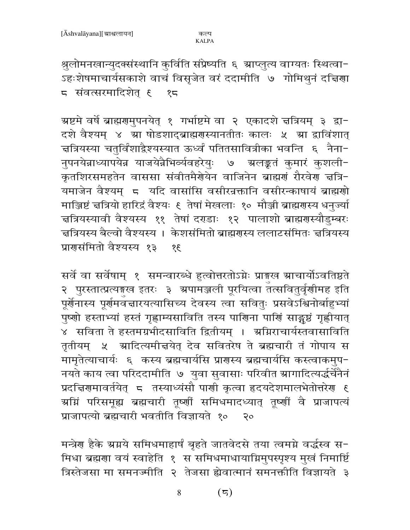श्रुलोमनखान्युदक्संस्थानि कुर्विति संप्रेष्यति ६ म्राप्लुत्य वाग्यतः स्थित्वा-ऽहःशेषमाचार्यसकाशे वाचं विसृजेत वरं ददामीति ७ गोमिथुनं दच्चिणा 5 संवत्सरमादिशेत ६ १८

ग्रष्टमे वर्षे ब्राह्मणमुपनयेत् १ गर्भाष्टमे वा २ एकादशे न्नत्रियम् ३ द्वा-दशे वैश्यम् ४ म्रा षोडशाद्ब्राह्मणस्यानतीतः कालः ५ म्रा द्राविंशात् चत्रियस्या चतुर्विंशाद्देश्यस्यात ऊर्ध्वं पतितसावित्रीका भवन्ति ६ नैना− नुपनयेन्नाध्यापयेन्न याजयेन्नैभिर्व्यवहरेयुः ७ ग्रलङ्कतं कुमारं कुशली-कृतशिरसमहतेन वाससा संवीतमैर्गयेन वाजिनेन ब्राह्मणं रौरवेण चत्रि-यमाजेन वैश्यम् 5 यदि वासांसि वसीरन्नकानि वसीरन्काषायं ब्राह्मणो माञ्जिष्टं चत्रियो हारिद्रं वैश्यः ६ तेषां मेखलाः १० मौञ्जी ब्राह्मणस्य धनुज्यां चत्रियस्यावी वैश्यस्य ११ तेषां दराडाः १२ पालाशो ब्राह्मरास्यौडुम्बरः चत्रियस्य बैल्वो वैश्यस्य । केशसंमितो ब्राह्मणस्य ललाटसंमितः चत्रियस्य प्रारासंमितो वैश्यस्य १३  $\overline{3}$ 

सर्वे वा सर्वेषाम् १ समन्वारब्धे हत्वोत्तरतोऽग्नेः प्राङ्गख म्राचार्योऽवतिष्ठते २ पुरस्तात्प्रत्यङ्गख इतरः ३ अपामञ्जली पूरयित्वा तत्सवितुर्वृणीमह इति पूर्णनास्य पूर्णमवन्तारयत्यासिच्य देवस्य त्वा सवितुः प्रसवेऽश्विनोर्बाहुभ्यां पुष्णो हस्ताभ्यां हस्तं गृह्णाम्यसाविति तस्य पाणिना पाणिं साङ्गुष्ठं गृह्णीयात् ४ सविता ते हस्तमग्रभीदसाविति द्वितीयम् । अग्निराचार्यस्तवासाविति तृतीयम् ५ स्रादित्यमीत्तयेत् देव सवितरेष ते ब्रह्मचारी तं गोपाय स मामृतेत्याचार्यः ६ कस्य ब्रह्मचार्यसि प्राणस्य ब्रह्मचार्यसि कस्त्वाकमुप-नयते काय त्वा परिददामीति ७ युवा सुवासाः परिवीत स्रागादित्यर्द्धचेनैनं प्रदचिरणमावर्तयेत् 5 तस्याध्यंसौ पाणी कृत्वा हृदयदेशमालभेतोत्तरेण ६ ग्रग्निं परिसमूह्य ब्रह्मचारी तूष्णीं समिधमादध्यात् तूष्णीं वै प्राजापत्यं प्राजापत्यो ब्रह्मचारी भवतीति विज्ञायते १० २०

मन्त्रेण हैके ग्रग्नये समिधमाहार्षं बृहते जातवेदसे तया त्वमग्ने वर्द्धस्व स-मिधा ब्रह्मणा वयं स्वाहेति १ स समिधमाधायाग्निमुपस्पृश्य मुखं निमार्ष्टि त्रिस्तेजसा मा समनज्मीति २ तेजसा ह्येवात्मानं समनक्तीति विज्ञायते ३

> 8  $(\overline{5})$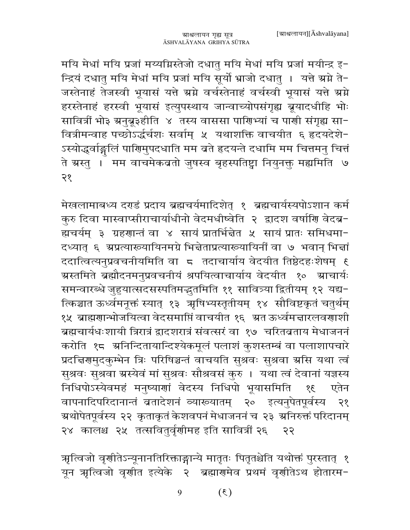मयि मेधां मयि प्रजां मय्यग्निस्तेजो दधातु मयि मेधां मयि प्रजां मयीन्द्र इ-न्द्रियं दधातु मयि मेधां मयि प्रजां मयि सूर्यो भ्राजो दधातु । यत्ते ग्रग्ने ते− जस्तेनाहं तेजस्वी भूयासं यत्ते ग्रग्ने वर्चस्तेनाहं वर्चस्वी भूयासं यत्ते ग्रग्ने हरस्तेनाहं हरस्वी भूयासं इत्युपस्थाय जान्वाच्योपसंगृह्य ब्रूयादधीहि भोः सावित्रीं भो३ ग्रनुब्रू३हीति ४ तस्य वाससा पाणिभ्यां च पाणी संगृह्य सा-वित्रीमन्वाह पच्छोऽर्द्धर्चशः सर्वाम् ५ यथाशक्ति वाचयीत ६ हृदयदेशे-ऽस्योद्धर्वाङ्गलिं पाणिमुपदधाति मम बते हृदयन्ते दधामि मम चित्तमनु चित्तं ते ग्रस्तु । मम वाचमेकबतो जुषस्व बृहस्पतिष्ट्वा नियुनक्तु मह्यमिति ७ २१

मेखलामाबध्य दराडं प्रदाय ब्रह्मचर्यमादिशेत् १ ब्रह्मचार्यस्यपोऽशान कर्म कुरु दिवा मास्वाप्सीराचार्याधीनो वेदमधीष्वेति २ द्वादश वर्षाणि वेदब्र-द्यचर्यम् ३ ग्रहणान्तं वा ४ सायं प्रातर्भिन्नेत ५ सायं प्रातः समिधमा-दध्यात् ६ ग्रप्रत्याख्यायिनमग्रे भिन्नेताप्रत्याख्यायिनीं वा ७ भवान् भिन्नां ददात्वित्यनुप्रवचनीयमिति वा ८ तदाचार्याय वेदयीत तिष्ठेदहःशेषम् ६ ग्रस्तमिते ब्रह्मौदनमनुप्रवचनीयं श्रपयित्वाचार्याय वेदयीत १० ग्राचार्यः समन्वारब्धे जुहुयात्सदसस्पतिमद्भुतमिति ११ सावित्र्या द्वितीयम् १२ यद्य-त्किञ्चात ऊर्ध्वमनूक्तं स्यात् १३ ऋषिभ्यस्तृतीयम् १४ सौविष्टकृतं चतुर्थम् १५ ब्राह्मणान्भोजयित्वा वेदसमाप्तिं वाचयीत १६ ग्रत ऊर्ध्वमत्तारलवणाशी ब्रह्मचार्यधःशायी त्रिरात्रं द्वादशरात्रं संवत्सरं वा १७) चरितव्रताय मेधाजननं करोति १८ अनिन्दितायान्दिश्येकमूलं पलाशं कुशस्तम्बं वा पलाशापचारे प्रदत्तिरामुदकुम्भेन त्रिः परिषिञ्चन्तं वाचयति सुश्रवः सुश्रवा ग्रसि यथा त्वं सुश्रवः सुश्रवा ग्रस्येवं मां सुश्रवः सौश्रवसं कुरु । यथा त्वं देवानां यज्ञस्य निधिपोऽस्येवमहं मनुष्याणां वेदस्य निधिपो भूयासमिति १६ एतेन वापनादिपरिदानान्तं ब्रतादेशनं व्याख्यातम् २० इत्यनुपेतपूर्वस्य २१ ग्रथोपेतपूर्वस्य २२ कृताकृतं केशवपनं मेधाजननं च २३ ग्रनिरुक्तं परिदानम् २४ कालश्च २५ तत्सवितुर्वृणीमह इति सावित्रीं २६ २२

ऋत्विजो वृणीतेऽन्यूनानतिरिक्ताङ्गान्ये मातृतः पितृतश्चेति यथोक्तं पुरस्तात् १ यून ऋत्विजो वृणीत इत्येके २ ब्रह्मार्णमेव प्रथमं वृणीतेऽथ होतारम-

> $(3)$ 9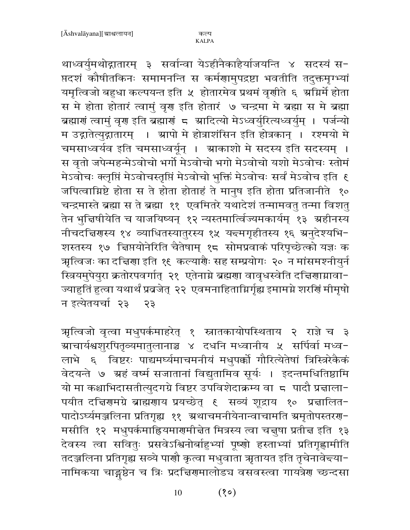थाध्वर्युमथोद्गातारम् ३ सर्वान्वा येऽहीनैकाहैर्याजयन्ति ४ सदस्यं स-प्तदशं कौषीतकिनः समामनन्ति स कर्मणामुपद्रष्टा भवतीति तदुक्तमृग्भ्यां यमृत्विजो बहुधा कल्पयन्त इति ५ होतारमेव प्रथमं वृणीते ६ अग्निर्मे होता स मे होता होतारं त्वामुं वृण इति होतारं ७ चन्द्रमा मे ब्रह्मा स मे ब्रह्मा ब्रह्माणं त्वामुं वृण इति ब्रह्माणं ८ ग्रादित्यो मेऽध्वर्युरित्यध्वर्युम् । पर्जन्यो म उद्गातेत्युद्गातारम् । स्रापो मे होत्राशंसिन इति होत्रकान् । रश्मयो मे चमसाध्वर्यव इति चमसाध्वर्यून् । म्राकाशो मे सदस्य इति सदस्यम् । स वृतो जपेन्महन्मेऽवोचो भर्गो मेऽवोचो भगो मेऽवोचो यशो मेऽवोचः स्तोमं मेऽवोचः क्लृप्तिं मेऽवोचस्तृप्तिं मेऽवोचो भुक्तिं मेऽवोचः सर्वं मेऽवोच इति १ जपित्वाम्निष्टे होता स ते होता होताहं ते मानुष इति होता प्रतिजानीते १० चन्द्रमास्ते ब्रह्मा स ते ब्रह्मा ११ एवमितरे यथादेशं तन्मामवतु तन्मा विशतु तेन भुद्विषीयेति च याजयिष्यन् १२ न्यस्तमार्त्विज्यमकार्यम् १३ ग्रहीनस्य नीचदचिरणस्य १४ व्याधितस्यातुरस्य १५ यन्त्मगृहीतस्य १६ ग्रनुदेश्यभि-शस्तस्य १७ चिप्तयोनेरिति चैतेषाम् १८ सोमप्रवाकं परिपृच्छेत्को यज्ञः क त्र्यात्विजः का दच्चिणा इति १९ कल्यार्शैः सह सम्प्रयोगः २० न मांसमश्नीयुर्न स्त्रियमुपेयुरा क्रतोरपवर्गात् २१ एतेनाग्ने ब्रह्मणा वावृधस्वेति दच्चिणाग्नावा-ज्याहुतिं हुत्वा यथार्थं प्रव्रजेत् २२ एवमनाहिताग्निर्गृह्य इमामग्ने शरणिं मीमृषो न इत्येतयर्चा २३  $55$ 

ऋत्विजो वृत्वा मधुपर्कमाहरेत् १ स्नातकायोपस्थिताय २ राज्ञे च ३ ग्राचार्यश्वशूरपितृव्यमातुलानाञ्च ४ दधनि मध्वानीय ५ सर्पिर्वा मध्व− लाभे ६ विष्टरः पाद्यमर्घ्यमाचमनीयं मधुपक्को गौरित्येतेषां त्रिस्त्रिरेकैकं वेदयन्ते ७ ग्रहं वर्ष्म सजातानां विद्युतामिव सूर्यः । इदन्तमधितिष्ठामि यो मा कश्चाभिदासतीत्युदगग्रे विष्टर उपविशेदाक्रम्य वाज्ज पादौ प्रज्ञाला-पयीत दचिरणमग्रे ब्राह्मणाय प्रयच्छेत् ६ सव्यं शूद्राय १० प्रचालित-पादोऽर्घ्यमञ्जलिना प्रतिगृह्य ११ अथाचमनीयेनान्वाचामति अमृतोपस्तरण-मसीति १२ मधुपर्कमाह्रियमारामी बेत मित्रस्य त्वा चत्तुषा प्रती च इति १३ देवस्य त्वा सवितुः प्रसवेऽश्विनोर्बाहुभ्यां पूष्णो हस्ताभ्यां प्रतिगृह्णामीति तदञ्जलिना प्रतिगृह्य सव्ये पाणौ कृत्वा मधुवाता ऋृतायत इति तृचेनावेद्त्या− नामिकया चाङ्गष्ठेन च त्रिः प्रदत्तिरामालोडच वसवस्त्वा गायत्रेरा च्छन्दसा

> $(80)$ 10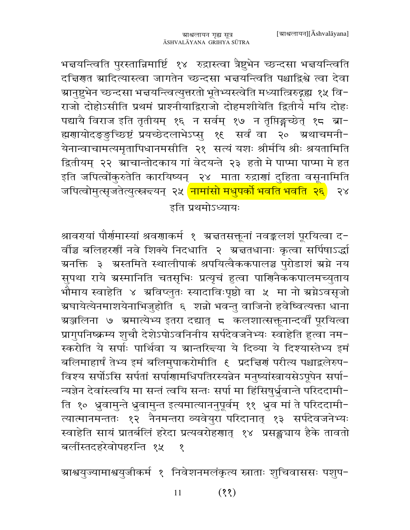भन्नयन्त्विति पुरस्तान्निमार्ष्टि १४ रुद्रास्त्वा त्रैष्टुभेन च्छन्दसा भन्नयन्त्विति दचिरणत स्रादित्यास्त्वा जागतेन च्छन्दसा भन्नयन्त्विति पश्चाद्विश्वे त्वा देवा ग्रानुष्टुभेन च्छन्दसा भन्नयन्त्वित्युत्तरतो भूतेभ्यस्त्वेति मध्यात्त्रिरुद्गद्य १५ वि− राजो दोहोऽसीति प्रथमं प्राश्नीयाद्विराजो दोहमशीयेति द्वितीयं मयि दोहः पद्यायै विराज इति तृतीयम् १६ न सर्वम् १७ न तृप्तिङ्गच्छेत् १८ ब्रा-ह्मणायोदङ्ङुच्छिष्टं प्रयच्छेदलाभेऽप्सु १६ सर्वं वा २० ग्रथाचमनी-येनान्वाचामत्यमृतापिधानमसीति २१ सत्यं यशः श्रीर्मयि श्रीः श्रयतामिति द्वितीयम् २२ ग्राचान्तोदकाय गां वेदयन्ते २३ हतो मे पाप्मा पाप्मा मे हत इति जपित्वोंकुरुतेति कारयिष्यन् २४ माता रुद्राणां दुहिता वसूनामिति जपित्वोमुत्सृजतेत्युत्स्नद्त्यन् २५ <mark>नामांसो मधुपर्को भवति भवति २६</mark>)  $58$ इति प्रथमोऽध्यायः

श्रावरमयां पौर्णमास्यां श्रवणाकर्म १ अचतसक्तूनां नवङ्कलशं पूरयित्वा द− र्वाञ्च बलिहरणीं नवे शिक्ये निदधाति २ अचतधानाः कृत्वा सर्पिषाऽर्द्धा ग्रनक्ति ३ अस्तमिते स्थालीपाकं श्रपयित्वैककपालञ्च पुरोडाशं ग्रग्ने नय सुपथा राये ग्रस्मानिति चतसृभिः प्रत्यृचं हुत्वा पाणिनैककपालमच्युताय भौमाय स्वाहेति ४ अविप्लुतः स्यादाविःपृष्ठो वा ५ मा नो अ्रेऽवसृजो ग्रघायेत्येनमाशयेनाभिजुहोति ६ शन्नो भवन्तु वाजिनो हवेष्वित्यक्ता धाना ग्रञ्जलिना ७ ग्रमात्येभ्य इतरा दद्यात् <del>८</del> कलशात्सक्तूनान्दर्वीं पूरयित्वा प्रागुपनिष्क्रम्य शुचौ देशेऽपोऽवनिनीय सर्पदेवजनेभ्यः स्वाहेति हुत्वा नम-स्करोति ये सर्पाः पार्थिवा य ग्रान्तरित्त्या ये दिव्या ये दिश्यास्तेभ्य इमं बलिमाहार्षं तेभ्य इमं बलिमुपाकरोमीति ६ प्रदत्तिगं परीत्य पश्चाद्वलेरुप− विश्य सर्पोऽसि सर्पतां सर्पाणामधिपतिरस्यन्नेन मनुष्यांस्त्रायसेऽपूपेन सर्पा-न्यज्ञेन देवांस्त्वयि मा सन्तं त्वयि सन्तः सर्पा मा हिंसिषुर्ध्रुवान्ते परिददामी-ति १० ध्रुवामुन्ते ध्रुवामुन्त इत्यमात्याननुपूर्वम् ११ ध्रुव मां ते परिददामी-त्यात्मानमन्ततः १२ नैनमन्तरा व्यवेयुरा परिदानात् १३ सर्पदेवजनेभ्यः स्वाहेति सायं प्रातर्बलिं हरेदा प्रत्यवरोहणात् १४ प्रसङ्ख्याय हैके तावतो बलींस्तदहरेवोपहरन्ति १५  $\overline{Q}$ 

ग्राश्वयुज्यामाश्वयुजीकर्म १ निवेशनमलंकृत्य स्नाताः शुचिवाससः पशुप−

 $(33)$ 11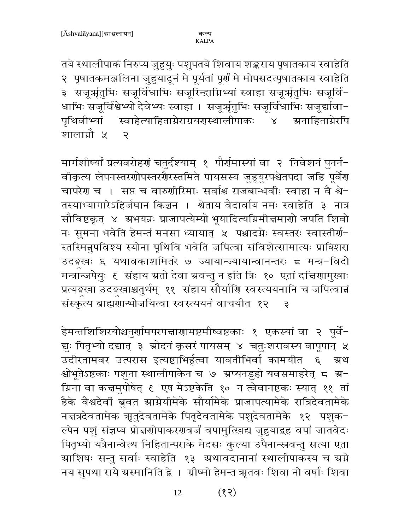तये स्थालीपाकं निरुप्य जुहुयुः पशुपतये शिवाय शङ्कराय पृषातकाय स्वाहेति २ पृषातकमञ्जलिना जुहुयादूनं मे पूर्यतां पूर्णं मे मोपसदत्पृषातकाय स्वाहेति ३ सजूर्ऋतुभिः सजूर्विधाभिः सजूरिन्द्राग्निभ्यां स्वाहा सजूर्ऋतुभिः सजूर्वि-धाभिः सजूर्विश्वेभ्यो देवेभ्यः स्वाहा । सजूर्त्राृतुभिः सजूर्विधाभिः सजूर्द्यावा-पृथिवीभ्यां स्वाहेत्याहिताग्नेराग्रयगस्थालीपाकः ४ ग्रनाहिताग्नेरपि शालाम्रौ ५ २

मार्गशीष्यां प्रत्यवरोहणं चतुर्दश्याम् १ पौर्णमास्यां वा २ निवेशनं पुनर्न-वीकृत्य लेपनस्तरशोपस्तरशैरस्तमिते पायसस्य जुहुयुरपश्चेतपदा जहि पूर्वेश चापरेश च । सप्त च वारुशीरिमाः सर्वाश्च राजबान्धवीः स्वाहा न वै श्वे-तस्याभ्यागारेऽहिर्जघान किञ्चन । श्वेताय वैदार्वाय नमः स्वाहेति ३ नात्र सौविष्टकृत् ४ अभयन्नः प्राजापत्येम्यो भूयादित्यग्निमी नमाणो जपति शिवो नः सुमना भवेति हेमन्तं मनसा ध्यायात् ५ पश्चादग्नेः स्वस्तरः स्वास्तीर्ण-स्तस्मिन्नुपविश्य स्योना पृथिवि भवेति जपित्वा संविशेत्सामात्यः प्राक्शिरा उदङ्गखः ६ यथावकाशमितरे ७ ज्यायान्ज्यायान्वानन्तरः ८ मन्त्र-विदो मन्त्रॉन्जपेयुः ६ संहाय ग्रतो देवा ग्रवन्तु न इति त्रिः १० एतां दचिगामुखाः प्रत्यङ्गखा उदङ्गखाश्चतुर्थम् ११ संहाय सौर्याणि स्वस्त्ययनानि च जपित्वान्नं संस्कृत्य ब्राह्मणान्भोजयित्वा स्वस्त्ययनं वाचयीत १२  $\overline{\mathbf{z}}$ 

हेमन्तशिशिरयोश्चतुर्णामपरपद्माणामष्टमीष्वष्टकाः १ एकस्यां वा २ पूर्वे-द्युः पितृभ्यो दद्यात् ३ स्रोदनं कृसरं पायसम् ४ चतुःशरावस्य वापूपान् ५ उदीरतामवर उत्परास इत्यष्टाभिर्हुत्वा यावतीभिर्वा कामयीत ६ अ्थ श्वोभूतेऽष्टकाः पशुना स्थालीपाकेन च ७ अप्यनडुहो यवसमाहरेत् ८ अ− ग्निना वा कच्चमुपोषेत् ६ एष मेऽष्टकेति १० न त्वेवानष्टकः स्यात् ११ तां हैके वैश्वदेवीं बुवत स्राग्नेयीमेके सौर्यामेके प्राजापत्यामेके रात्रिदेवतामेके नच्चत्रदेवतामेक ऋृतुदेवतामेके पितृदेवतामेके पशुदेवतामेके १२ पशुक-ल्पेन पशुं संज्ञप्य प्रोत्तरणोपाकरणवर्जं वपामुत्खिद्य जुहुयाद्रह वपां जातवेदः पितृभ्यो यत्रैनान्वेत्थ निहितान्पराके मेदसः कुल्या उपैनान्स्नवन्तु सत्या एता ग्राशिषः सन्तु सर्वाः स्वाहेति १३ अथावदानानां स्थालीपाकस्य च अम्रे नय सुपथा राये ग्रस्मानिति द्वे । ग्रीष्मो हेमन्त ऋतवः शिवा नो वर्षाः शिवा

> $(55)$ 12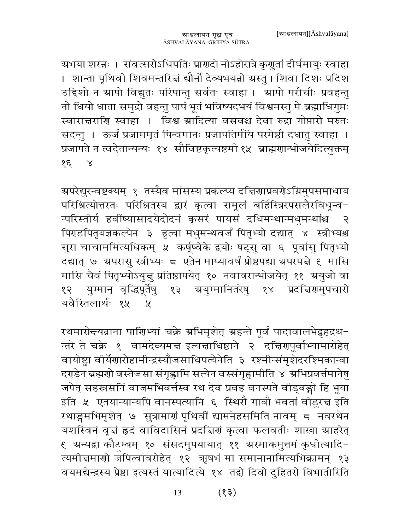ग्रभया शरन्नः । संवत्सरोऽधिपतिः प्राणदो नोऽहोरात्रे कृणुतां दीर्घमायुः स्वाहा । शान्ता पृथिवी शिवमन्तरित्तं द्यौर्नो देव्यभयन्नो ग्रस्तु । शिवा दिशः प्रदिश उद्दिशो न स्रापो विद्युतः परिपान्तु सर्वतः स्वाहा । स्रापो मरीचीः प्रवहन्तु नो धियो धाता समुद्रो वहन्तु पापं भूतं भविष्यदभयं विश्वमस्तु मे ब्रह्माधिगुप्तः स्वारात्तराणि स्वाहा । विश्व ग्रादित्या वसवश्च देवा रुद्रा गोप्तारो मरुतः सदन्तु । ऊर्जं प्रजाममृतं पिन्वमानः प्रजापतिर्मयि परमेष्ठी दधातु स्वाहा । प्रजापते न त्वदेतान्यन्यः १४ सौविष्टकृत्यष्टमी १५ ब्राह्मणान्भोजयेदित्युक्तम्  $85 \times$ 

ग्र्परेद्युरन्वष्टक्यम् १ तस्यैव मांसस्य प्रकल्प्य दच्चिणाप्रवर्णेऽग्निमुपसमाधाय परिश्रित्योत्तरतः परिश्रितस्य द्वारं कृत्वा समूलं बर्हिस्त्रिरपसलैरविधून्व-न्परिस्तीर्य हवींष्यासादयेदोदनं कृसरं पायसं दधिमन्थान्मधुमन्थांश्च २ पिराडपितृयज्ञकल्पेन ३ हुत्वा मधुमन्थवर्जं पितृभ्यो दद्यात् ४ स्त्रीभ्यश्च सुरा चाचाममित्यधिकम् ५ कर्षूष्वेके द्वयोः षट्सु वा ६ पूर्वासु पितृभ्यो दद्यात् ७ ग्रपरासु स्त्रीभ्यः ८ एतेन माघ्यावर्षं प्रोष्ठपद्या ग्रपरपद्मे ६ मासि मासि चैवं पितृभ्योऽयुज्ञु प्रतिष्ठापयेत् १० नवावरान्भोजयेत् ११ ग्रयुजो वा १२ युग्मान् वृद्धिपूर्तेषु १३ स्रयुग्मानितरेषु १४ प्रदत्तिरामुपचारो यवैस्तिलार्थः १५  $\mathcal{Y}$ 

रथमारो<del>द</del>यन्नाना पाणिभ्यां चक्रे अभिमृशेत् अहन्ते पूर्वं पादावालभेद्दृहद्रथ-न्तरे ते चक्रे १ वामदेव्यमत्त इत्यज्ञाधिष्ठाने २ दत्तिरणपूर्वाभ्यामारोहेत् वायोष्ट्वा वीर्येणारोहामीन्द्रस्यौजसाधिपत्येनेति ३ रश्मीन्संमृशेदरश्मिकान्वा दराडेन ब्रह्मणो वस्तेजसा संगृह्णामि सत्येन वस्संगृह्णामीति ४ अभिप्रवर्त्तमानेषु जपेत् सहस्रसनिं वाजमभिवर्त्तस्व रथ देव प्रवह वनस्पते वीड्वङ्गो हि भूया इति ५ एतयान्यान्यपि वानस्पत्यानि ६ स्थिरौ गावौ भवतां वीडुरत्त इति रथाङ्गमभिमृशेत् ७ सुत्रामाणं पृथिर्वी द्यामनेहसमिति नावम् ८ नवरथेन यशस्विनं वृत्तं ह्रदं वाविदासिनं प्रदत्तिणं कृत्वा फलवतीः शाखा ग्राहरेत् ९ ग्रन्यद्वा कौटम्बम् १० संसदमुपयायात् ११ ग्रस्माकमुत्तमं कृधीत्यादि− त्यमीचमाणो जपित्वावरोहेत् १२ ऋषभं मा समानानामित्यभिक्रामन् १३ वयमद्येन्द्रस्य प्रेष्ठा इत्यस्तं यात्यादित्ये १४ तद्वो दिवो दुहितरो विभातीरिति

> $(55)$ 13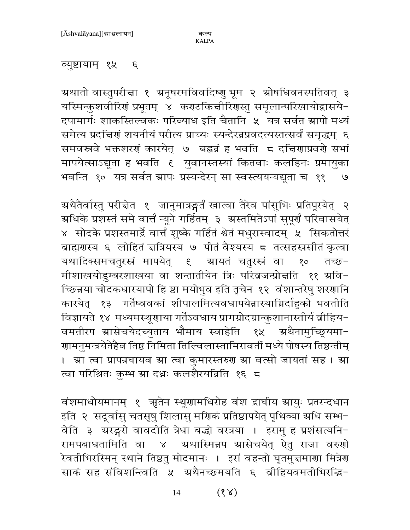## व्युष्टायाम् १५ ६

ग्रथातो वास्तुपरीचा १ ग्रनूषरमविवदिष्णु भूम २ ग्रोषधिवनस्पतिवत् ३ यस्मिन्कुशवीरिणं प्रभूतम् ४ कराटकिचीरिणस्तु समूलान्परिखायोद्वासये-दपामार्गः शाकस्तिल्वकः परिव्याध इति चैतानि ५ यत्र सर्वत स्रापो मध्यं समेत्य प्रदत्तिरां शयनीयं परीत्य प्राच्यः स्यन्देरन्नप्रवदत्यस्तत्सर्वं समृद्धम् ६ समवस्रवे भक्तशरणं कारयेत् ७ बहन्नं ह भवति ८ दचिणाप्रवर्णे सभां मापयेत्साऽद्यूता ह भवति १ युवानस्तस्यां कितवाः कलहिनः प्रमायुका भवन्ति १० यत्र सर्वत ग्रापः प्रस्यन्देरन् सा स्वस्त्ययन्यद्यूता च ११ ५

अथैतैर्वास्तु परीचेत १ जानुमात्रङ्गर्तं खात्वा तैरेव पांसुभिः प्रतिपूरयेत् २ ग्रधिके प्रशस्तं समे वार्त्तं न्यूने गर्हितम् ३ अस्तमितेऽपां सुपूर्णं परिवासयेत् ४ सोदके प्रशस्तमार्द्रे वार्त्तं शुष्के गर्हितं श्वेतं मधुरास्वादम् ५ सिकतोत्तरं ब्राह्मणस्य ६ लोहितं चत्रियस्य ७ पीतं वैश्यस्य ८ तत्सहस्रसीतं कृत्वा यथादिक्समचतुरस्रं मापयेत् । श्रायतं चतुरस्रं वा १० तच्छ-मीशाखयोडुम्बरशाखया वा शन्तातीयेन त्रिः परिब्रजन्प्रोत्तति ११ अवि− च्छिन्नया चोदकधारयापो हि ष्ठा मयोभुव इति तृचेन १२ वंशान्तरेषु शरणानि कारयेत् १३ गर्तेष्ववकां शीपालमित्यवधापयेन्नास्याग्निर्दाहुको भवतीति विज्ञायते १४ मध्यमस्थूणाया गर्तेऽवधाय प्रागग्रोदग्रान्कुशानास्तीर्य बीहिय-वमतीरप स्रासेचयेदच्युताय भौमाय स्वाहेति १५ अथैनामुच्छ्र्यमा− णामनुमन्त्रयेतेहैव तिष्ठ निमिता तिल्विलास्तामिरावर्ती मध्ये पोषस्य तिष्ठन्तीम् । स्रा त्वा प्रापन्नघायव स्रा त्वा कुमारस्तरुण स्रा वत्सो जायतां सह । स्रा त्वा परिश्रितः कुम्भ स्रा दध्नः कलशैरयन्निति १६ ८

वंशमाधोयमानम् १ ऋतेन स्थूणामधिरोह वंश द्राघीय स्रायुः प्रतरन्दधान इति २ सदूर्वासु चतसृषु शिलासु मणिकं प्रतिष्ठापयेत् पृथिव्या अधि सम्भ-वेति ३ अरङ्गरो वावदीति त्रेधा बद्धो वरत्रया । इरामु ह प्रशंसत्यनि-रामपबाधतामिति वा ४ अथास्मिन्नप स्रासेचयेत् ऐतु राजा वरुणो .<br>रेवतीभिरस्मिन् स्थाने तिष्ठतु मोदमानः । इरां वहन्तो घृतमु<mark>त्तमा</mark>णा मित्रेण साकं सह संविशन्त्विति ५ अथैनच्छमयति ६ व्रीहियवमतीभिरद्धि-

> $(88)$ 14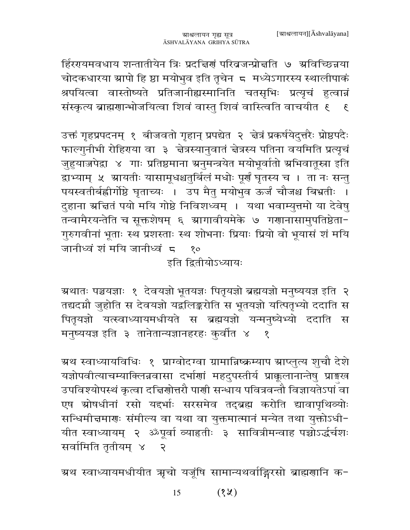र्हिरएयमवधाय शन्तातीयेन त्रिः प्रदच्चिणं परिव्रजन्प्रोचति ७ अविच्छिन्नया चोदकधारया स्रापो हि ष्ठा मयोभुव इति तृचेन ८ मध्येऽगारस्य स्थालीपाकं श्रपयित्वा वास्तोष्यते प्रतिजानीह्यस्मानिति चतसृभिः प्रत्यृचं हत्वान्नं संस्कृत्य ब्राह्मणान्भोजयित्वा शिवं वास्तु शिवं वास्त्विति वाचयीत १ १

उक्तं गृहप्रपदनम् १ बीजवतो गृहान् प्रपद्येत २ चेत्रं प्रकर्षयेदुत्तरैः प्रोष्ठपदैः फाल्गुनीभी रोहिराया वा ३ चेत्रस्यानुवातं चेत्रस्य पतिना वयमिति प्रत्यृचं जुहुयाज्जपेद्रा ४ गाः प्रतिष्ठमाना ग्रनुमन्त्रयेत मयोभूर्वातो अभिवातूस्ना इति द्वाभ्याम् ५ ग्रायतीः यासामूधश्चतुर्बिलं मधोः पूर्णं घृतस्य च । ता नः सन्तु पयस्वतीर्बह्वीर्गोष्ठे घृताच्यः । उप मैतु मयोभुव ऊर्जं चौजश्च बिभ्रतीः । दुहाना ग्रन्तितं पयो मयि गोष्ठे निविशध्वम् । यथा भवाम्युत्तमो या देवेषु तन्वामैरयन्तेति च सूक्तशेषम् ६ स्रागावीयमेके ७ गणानासामुपतिष्ठेता-गुरुगवीनां भूताः स्थ प्रशस्ताः स्थ शोभनाः प्रियाः प्रियो वो भूयासं शं मयि जानीध्वं शं मयि जानीध्वं <del>८</del>  $8^{\circ}$ 

इति द्वितीयोऽध्यायः

ग्रथातः पञ्चयज्ञाः १ देवयज्ञो भूतयज्ञः पितृयज्ञो ब्रह्मयज्ञो मनुष्ययज्ञ इति २ तद्यदग्नौ जुहोति स देवयज्ञो यद्वलिङ्करोति स भूतयज्ञो यत्पितृभ्यो ददाति स पितृयज्ञो यत्स्वाध्यायमधीयते स ब्रह्मयज्ञो यन्मनुष्येभ्यो ददाति स मनुष्ययज्ञ इति ३ तानेतान्यज्ञानहरहः कुर्वात ४  $\mathbf{S}$ 

ग्रथ स्वाध्यायविधिः १ प्राग्वोदग्वा ग्रामान्निष्क्रम्याप ग्राप्लुत्य शुचौ देशे यज्ञोपवीत्याचम्याक्लिन्नवासा दर्भाणां महदुपस्तीर्य प्राक्कुलानान्तेषु प्राङ्गख उपविश्योपस्थं कृत्वा दच्चिणोत्तरौ पाणी सन्धाय पवित्रवन्तौ विज्ञायतेऽपां वा एष ग्रोषधीनां रसो यद्दर्भाः सरसमेव तद्ब्रह्म करोति द्यावापृथिव्योः सन्धिमीचमाणः संमील्य वा यथा वा युक्तमात्मानं मन्येत तथा युक्तोऽधी-यीत स्वाध्यायम् २ ॐपूर्वा व्याहृतीः ३ सावित्रीमन्वाह पच्चोऽर्द्धर्चशः सर्वामिति तृतीयम् ४  $\mathcal{L}$ 

ग्रथ स्वाध्यायमधीयीत ऋचो यजूंषि सामान्यथर्वाङ्गिरसो ब्राह्मणानि क-

 $(3x)$ 15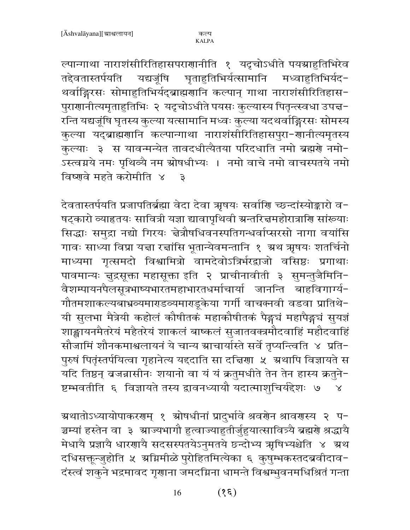ल्पान्गाथा नाराशंसीरितिहासपराणानीति १ यदृचोऽधीते पयग्राहुतिभिरेव तद्देवतास्तर्पयति यद्यजूंषि घृताहुतिभिर्यत्सामानि मध्वाहुतिभिर्यद-थर्वाङ्गिरसः सोमाहुतिभिर्यद्ब्राह्मणानि कल्पान् गाथा नाराशंसीरितिहास-पुराणानीत्यमृताहुतिभिः २ यदृचोऽधीते पयसः कुल्यास्य पितृन्त्स्वधा उपच्च-रन्ति यद्यजूंषि घृतस्य कुल्या यत्सामानि मध्वः कुल्या यदथर्वाङ्गिरसः सोमस्य कुल्या यद्ब्राह्मणानि कल्पान्गाथा नाराशंसीरितिहासपुरा-णानीत्यमृतस्य कुल्याः ३ स यावन्मन्येत तावदधीत्यैतया परिदधाति नमो ब्रह्मणे नमो-.<br>ऽस्त्वग्नये नमः पृथिव्यै नम स्रोषधीभ्यः । नमो वाचे नमो वाचस्पतये नमो विष्णवे महते करोमीति ४  $\overline{\mathbf{c}}$ 

देवतास्तर्पयति प्रजापतिर्ब्रह्मा वेदा देवा ऋषयः सर्वाणि च्छन्दांस्योङ्कारो व-षट्कारो व्याहृतयः सावित्री यज्ञा द्यावापृथिवी ग्रन्तरित्तमहोरात्राणि सांख्याः सिद्धाः समुद्रा नद्यो गिरयः चेत्रौषधिवनस्पतिगन्धर्वाप्सरसो नागा वयांसि गावः साध्या विप्रा यद्मा रर्त्नासि भूतान्येवमन्तानि १ ग्रथ ऋषयः शतर्चिनो माध्यमा गृत्समदो विश्वामित्रो वामदेवोऽत्रिर्भरद्वाजो वसिष्ठः प्रगाथाः पावमान्यः जुद्रसूक्ता महासूक्ता इति २ प्राचीनावीती ३ सुमन्तुजैमिनि-वैशम्पायनपैलसूत्रभाष्यभारतमहाभारतधर्माचार्या जानन्ति बाहविगार्ग्य-गौतमशाकल्यबाभ्रव्यमाराडव्यमाराडूकेया गर्गी वाचक्नवी वडवा प्रातिथे-यी सुलभा मैत्रेयी कहोलं कौषीतकं महाकौषीतकं पैङ्गचं महापैङ्गचं सयज्ञं शाङ्खायनमैतरेयं महैतरेयं शाकलं बाष्कलं सुजातवक्त्रमौदवाहिं महौदवाहिं सौजामिं शौनकमाश्वलायनं ये चान्य ग्राचार्यास्ते सर्वे तृप्यन्त्विति ४ प्रति-पुरुषं पितृंस्तर्पयित्वा गृहानेत्य यद्दाति सा दच्चिणा ५ अथापि विज्ञायते स यदि तिष्ठन् बजन्नासीनः शयानो वा यं यं क्रतुमधीते तेन तेन हास्य क्रतुने-ष्टम्भवतीति ६ विज्ञायते तस्य द्वावनध्यायौ यदात्माशूचिर्यद्देशः ७  $\mathsf{X}$ 

ग्रथातोऽध्यायोपाकरणम् १ स्रोषधीनां प्रादुर्भावे श्रवरोन श्रावरास्य २ प− ञ्चम्यां हस्तेन वा ३ भ्राज्यभागौ हुत्वाज्याहुतीर्जुहुयात्सावित्र्यै ब्रह्मणे श्रद्धायै मेधायै प्रज्ञायै धारणायै सदसस्पतयेऽनुमतये छन्दोभ्य ऋषिभ्यश्चेति ४ अथ दधिसक्तून्जुहोति ५ अग्निमीळे पुरोहितमित्येका ६ कुषुम्भकस्तदब्रवीदाव-दंस्त्वं शकुने भद्रमावद गृणाना जमदग्निना धामन्ते विश्वम्भुवनमधिश्रितं गन्ता

> $(\xi \xi)$ 16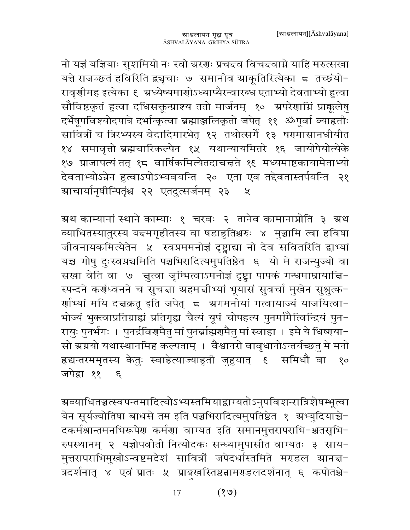नो यज्ञं यज्ञियाः सुशमियो नः स्वो ग्ररणः प्रचन्दव विचन्दवाग्ने याहि मरुत्सखा यत्ते राजञ्छतं हविरिति द्व्यृचाः ७ समानीव स्राकूतिरित्येका ८ तच्छंयो-रावृणीमह इत्येका ६ अध्येष्यमाणोऽध्याप्यैरन्वारब्ध एताभ्यो देवताभ्यो हुत्वा सौविष्टकृतं हुत्वा दधिसक्तून्प्राश्य ततो मार्जनम् १० अपरेणाम्निं प्राकूलेषु दर्भेषूपविश्योदपात्रे दर्भान्कृत्वा ब्रह्माञ्जलिकृतो जपेत् ११ ॐपूर्वा व्याहृतीः सावित्रीं च त्रिरभ्यस्य वेदादिमारभेत् १२ तथोत्सर्गे १३ षरमासानधीयीत १४ समावृत्तो ब्रह्मचारिकल्पेन १५ यथान्यायमितरे १६ जायोपेयोत्येके १७ प्राजापत्यं तत् १८ वार्षिकमित्येतदाचत्तते १९ मध्यमाष्टकायामेताभ्यो देवताभ्योऽन्नेन हुत्वाऽपोऽभ्यवयन्ति २० एता एव तद्देवतास्तर्पयन्ति २१ ग्राचार्यानृषीन्पितृंश्च २२ एतदुत्सर्जनम् २३  $\chi$ 

ग्रथ काम्यानां स्थाने काम्याः १ चरवः २ तानेव कामानाप्नोति ३ ग्रथ व्याधितस्यातुरस्य य<del>द</del>मगृहीतस्य वा षडाहुतिश्चरुः ४ मुञ्चामि त्वा हविषा जीवनायकमित्येतेन ५ स्वप्नममनोज्ञं दृष्ट्वाद्या नो देव सवितरिति द्वाभ्यां यच्च गोषु दुःस्वप्नचमिति पञ्चभिरादित्यमुपतिष्ठेत ६ यो मे राजन्युज्यो वा सखा वेति वा ७ जुल्वा जुम्भित्वाऽमनोज्ञं दृष्ट्वा पापकं गन्धमाघ्रायाज्ञि-स्पन्दने कर्णध्वनने च सुचन्ना ग्रहमत्तीभ्यां भूयासं सुवर्चा मुखेन सुश्रुत्क-र्णाभ्यां मयि दत्तक्रतू इति जपेत् े स्रगमनीयां गत्वायाज्यं याजयित्वा− भोज्यं भुक्त्वाप्रतिग्राह्यं प्रतिगृह्य चैत्यं यूपं चोपहत्य पुनर्मामैत्विन्द्रियं पुन-रायुः पुनर्भगः । पुनर्द्रविरामैतु मां पुनर्ब्राह्मरामैतु मां स्वाहा । इमे ये धिष्यया− सो ग्रग्नयो यथास्थानमिह कल्पताम् । वैश्वानरो वावृधानोऽन्तर्यच्छत् मे मनो हृद्यन्तरममृतस्य केतुः स्वाहेत्याज्याहुती जुहुयात् । समिधौ वा १० जपेद्रा ११ ६

- <del>ग्र</del>व्याधितञ्चत्स्वपन्तमादित्योऽभ्यस्तमियाद्वाग्यतोऽनुपविशन्रात्रिशेषम्भूत्वा येन सूर्यज्योतिषा बाधसे तम इति पञ्चभिरादित्यमुपतिष्ठेत १ अभ्युदियाञ्चे-दकर्मश्रान्तमनभिरूपेण कर्मणा वाग्यत इति समानमुत्तरापराभि-श्चतसृभि-रुपस्थानम् २ यज्ञोपवीती नित्योदकः सन्ध्यामुपासीत वाग्यतः ३ साय-मुत्तरापराभिमुखोऽन्वष्टमदेशं सावित्रीं जपेदर्धास्तमिते मराडल स्रानच्च-त्रदर्शनात् ४ एवं प्रातः ५ प्राङ्मखस्तिष्ठन्नामराडलदर्शनात् ६ कपोतश्चे-

> $(8)$ 17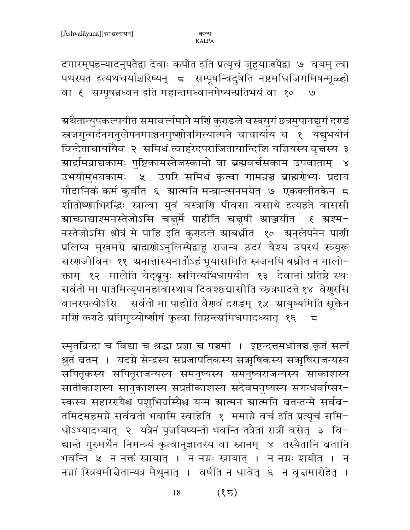दगारमुपहन्यादनुपतेद्वा देवाः कपोत इति प्रत्यृचं जुहुयाज्जपेद्वा ७ वयमु त्वा पथस्पत इत्यर्थचर्याञ्चरिष्यन् ८ सम्पूषन्विदुषेति नष्टमधिजिगमिषन्मूळ्हो वा १ सम्पूषन्नध्वन इति महान्तमध्वानमेष्यन्प्रतिभयं वा १०  $\cup$ 

ग्रथैतान्युपकल्पयीत समावर्त्यमाने मर्णि कुराडले वस्त्रयुगं छत्रमुपानद्युगं दराडं स्रजमुन्मर्दनमनुलेपनमाञ्जनमुष्णीषमित्यात्मने चाचार्याय च १ यद्युभयोर्न विन्देताचार्यायैव २ समिधं त्वाहरेदपराजितायान्दिशि यज्ञियस्य वृत्तस्य ३ ग्रार्द्रामन्नाद्यकामः पुष्टिकामस्तेजस्कामो वा ब्रह्मवर्चसकाम उपवाताम् ४ उभयीमुभयकामः ५ उपरि समिधं कृत्वा गामन्नञ्च ब्राह्मरोभ्यः प्रदाय गौदानिकं कर्म कुर्वीत ६ ग्रात्मनि मन्त्रान्त्संनमयेत् ७ एकक्लीतकेन ८ शीतोष्णाभिरद्धिः स्नात्वा युवं वस्त्राणि पीवसा वसाथे इत्यहते वाससी नस्तेजोऽसि श्रोत्रं मे पाहि इति कुराडले स्राबध्नीत १० स्रनुलेपनेन पार्णी प्रलिप्य मुखमग्रे ब्राह्मणोऽनुलिम्पेद्वाहू राजन्य उदरं वैश्य उपस्थं स्त्र्यूरू सरणजीविनः ११ अनार्त्तास्यनार्तोऽहं भूयासमिति स्त्रजमपि बध्नीत न मालो-क्ताम् १२ मालेति चेद्ब्रूयुः स्त्रगित्यभिधापयीत १३ देवानां प्रतिष्ठे स्थः सर्वतो मा पातमित्युपानहावास्थाय दिवश्छ्यासीति च्छत्रभादत्ते १४ वेणुरसि वानस्पत्योऽसि सर्वतो मा पाहीति वैरण्वं दराडम् १५ म्रायुष्यमिति सूक्तेन मर्गि कराठे प्रतिमुच्योष्णीषं कृत्वा तिष्ठन्त्समिधमादध्यात् १६  $\overline{a}$ 

स्मृतन्निन्दा च विद्या च श्रद्धा प्रज्ञा च पञ्चमी । इष्टन्दत्तमधीतञ्च कृतं सत्यं श्रुतं व्रतम् । यदग्ने सेन्द्रस्य सप्रजापतिकस्य सत्रृषिकस्य सत्रृषिराजन्यस्य सपितृकस्य सपितृराजन्यस्य समनुष्यस्य समनुष्यराजन्यस्य साकाशस्य सातीकाशस्य सानुकाशस्य सप्रतीकाशस्य सदेवमनुष्यस्य सगन्धर्वाप्सर-स्कस्य सहाररायैश्च पशुभिर्ग्राम्यैश्च यन्म ग्रात्मन ग्रात्मनि व्रतन्तन्मे सर्वव-तमिदमहमग्ने सर्वब्रतो भवामि स्वाहेति १ ममाग्ने वर्च इति प्रत्यृचं समि-धोऽभ्यादध्यात् २ यत्रैनं पूजयिष्यन्तो भवन्ति तत्रैतां रात्रीं वसेत् ३ वि-द्यान्ते गुरुमर्थैन निमन्त्र्यं कृत्वानुज्ञातस्य वा स्नानम् ४ तस्यैतानि ब्रतानि भवन्ति ५ न नक्तं स्नायात् । न नग्नः स्नायात् । न नग्नः शयीत । न नम्नां स्त्रियमीचेतान्यत्र मैथुनात् । वर्षति न धावेत् ६ न वृच्चमारोहेत् ।

> $(35)$ 18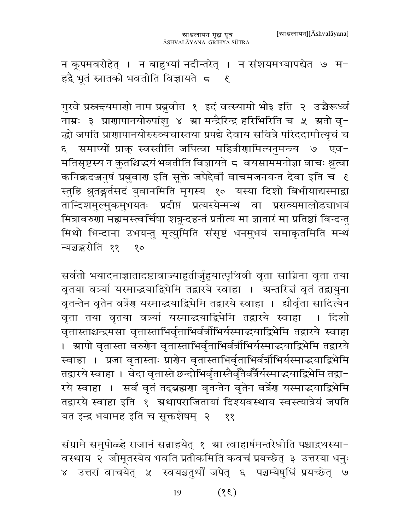न कूपमवरोहेत् । न बाहुभ्यां नदीन्तरेत् । न संशयमभ्यापद्येत ७ म-हद्वै भूतं स्नातको भवतीति विज्ञायते ६ ६

गुरवे प्रस्रन्दयमाणो नाम प्रबुवीत १ इदं वर्त्स्यामो भो३ इति २ उच्चैरूर्ध्वं नाम्नः ३ प्राणापानयोरुपांशु ४ स्रा मन्द्रैरिन्द्र हरिभिरिति च ५ स्रतो वृ-द्धो जपति प्राणापानयोरुरुव्यचास्तया प्रपद्ये देवाय सवित्रे परिददामीत्यृचं च ६ समाप्यों प्राक् स्वस्तीति जपित्वा महित्रीणामित्यनुमन्त्र्य ७ एव-मतिसृष्टस्य न कुतश्चिद्धयं भवतीति विज्ञायते ८ वयसाममनोज्ञा वाचः श्रुत्वा कनिक्रदज्जनुषं प्रबुवारा इति सूक्ते जपेदेवीं वाचमजनयन्त देवा इति च १ स्तुहि श्रुतङ्गर्तसदं युवानमिति मृगस्य १० यस्या दिशो बिभीयाद्यस्माद्रा तान्दिशमुल्मुकमुभयतः प्रदीप्तं प्रत्यस्येन्मन्थं वा प्रसव्यमालोडचाभयं मित्रावरुणा मह्यमस्त्वर्चिषा शत्रून्दहन्तं प्रतीत्य मा ज्ञातारं मा प्रतिष्ठां विन्दन्तु मिथो भिन्दाना उभयन्तु मृत्युमिति संसृष्टं धनमुभयं समाकृतमिति मन्थं न्यञ्चङ्करोति ११  $8^{\circ}$ 

सर्वतो भयादनाज्ञातादष्टावाज्याहुतीर्जुहुयात्पृथिवी वृता साम्रिना वृता तया वृतया वत्र्या यस्माद्धयाद्विभेमि तद्वारये स्वाहा । अन्तरित्तं वृतं तद्वायुना वृतन्तेन वृतेन वर्त्रेण यस्माद्धयाद्विभेमि तद्वारये स्वाहा । द्यौर्वृता सादित्येन वृता तया वृतया वत्र्या यस्माद्धयाद्विभेमि तद्वारये स्वाहा । दिशो वृतास्ताश्चन्द्रमसा वृतास्ताभिर्वृताभिर्वर्त्रीभिर्यस्माद्भयाद्विभेमि तद्वारये स्वाहा । स्रापो वृतास्ता वरुगेन वृतास्ताभिर्वृताभिर्वर्त्रीभिर्यस्माद्भयाद्विभेमि तद्वारये स्वाहा । प्रजा वृतास्ताः प्राणेन वृतास्ताभिर्वृताभिर्वर्त्रीभिर्यस्माद्धयाद्विभेमि तद्वारये स्वाहा । वेदा वृतास्ते छन्दोभिर्वृतास्तैर्वृतैर्वर्त्रैर्यस्माद्धयाद्विभेमि तद्वा-रये स्वाहा । सर्वं वृतं तद्ब्रह्मणा वृतन्तेन वृतेन वर्त्रेण यस्माद्भयाद्विभेमि तद्वारये स्वाहा इति १ अथापराजितायां दिश्यवस्थाय स्वस्त्यात्रेयं जपति यत इन्द्र भयामह इति च सूक्तशेषम् २ ११

संग्रामे समुपोळ्हे राजानं सन्नाहयेत् १ ग्रा त्वाहार्षमन्तरेधीति पश्चाद्रथस्या-वस्थाय २ जीमूतस्येव भवति प्रतीकमिति कवचं प्रयच्छेत् ३ उत्तरया धनुः ४ उत्तरां वाचयेत् ५ स्वयञ्चतुर्थीं जपेत् ६ पञ्चम्येषुधिं प्रयच्छेत् ७

> $(3)$ 19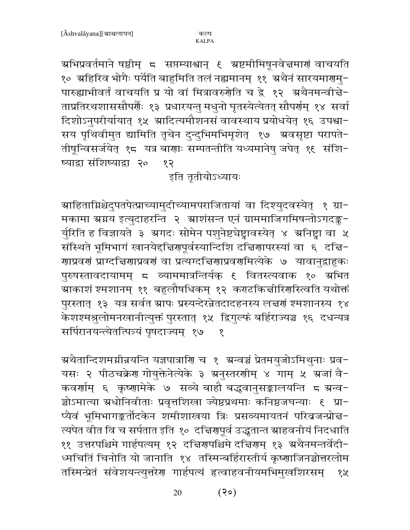अभिप्रवर्तमाने षष्ठीम् ८ सप्तम्याश्वान् ६ अष्टमीमिषूनवे ज्ञमाणं वाचयति १० ग्रहिरिव भोगैः पर्येति बाहुमिति तलं नह्यमानम् ११ ग्रथैनं सारयमारण्मु-पारुह्याभीवर्तं वाचयति प्र यो वां मित्रावरुगेति च द्वे १२ अथैनमन्वीचे-ताप्रतिरथशाससौपर्यैः १३ प्रधारयन्तु मधुनो घृतस्येत्येतत् सौपर्र्णम् १४ सर्वा दिशोऽनुपरीर्यायात् १५ ग्रादित्यमौशनसं वावस्थाय प्रयोधयेत् १६ उपश्चा-सय पृथिवीमुत द्यामिति तृचेन दुन्दुभिमभिमृशेत् १७ अवसृष्टा परापते-तीषून्विसर्जयेत् १८ यत्र बाणाः सम्पतन्तीति यध्यमानेषु जपेत् १६ संशि-ष्याद्वा संशिष्याद्वा २०  $58$ 

## इति तृतीयोऽध्यायः

ग्राहिताग्निश्चेदुपतपेत्प्राच्यामुदीच्यामपराजितायां वा दिश्युदवस्येत् १ ग्रा− मकामा स्रग्नय इत्युदाहरन्ति २ स्राशंसन्त एनं ग्राममाजिगमिषन्तोऽगदङ्क-र्यूरिति ह विज्ञायते ३ ग्रगदः सोमेन पशुनेष्टचेष्ट्वावस्येत् ४ ग्रनिष्ट्वा वा ५ संस्थिते भूमिभागं खानयेद्दचिरणपूर्वस्यान्दिशि दचिरणापरस्यां वा ६ दचि-<mark>णाप्रवर्</mark>णं प्राग्दच्चिणाप्रवर्णं वा प्रत्यग्दच्चिणाप्रवर्णमित्येके ७ यावानुद्वाहुकः पुरुषस्तावदायामम् ८ व्याममात्रन्तिर्यक् १ वितस्त्यवाक १० ग्रभित ग्र्याकाशं श्मशानम् ११ बहुलौषधिकम् १२ कराटकिज्ञीरिर्णास्त्वति यथोक्तं पुरस्तात् १३ यत्र सर्वतं ग्रापः प्रस्यन्देरन्नेतदादहनस्य लज्ञणं श्मशानस्य १४ .<br>केशश्मश्रूलोमनखानीत्युक्तं पुरस्तात् १५ द्विगुल्फं बर्हिराज्यञ्च १६ दधन्यत्र सर्पिरानयन्त्येतत्पित्र्यं पृषदाज्यम्) १७  $\delta$ 

ग्रथैतान्दिशमग्नीव्रयन्ति यज्ञपात्राणि च १ अन्वञ्चं प्रेतमयुजोऽमिथुनाः प्रव− यसः २ पीठचक्रेण गोयुक्तेनेत्येके ३ ग्रनुस्तरणीम् ४ गाम् ५ ग्रजां वै-कवर्णाम् ६ कृष्णामेके ७ सव्ये बाहौ बद्धवानुसङ्कालयन्ति ८ ग्रन्व-प्यैवं भूमिभागङ्कर्तोदकेन शमीशाखया त्रिः प्रसव्यमायतनं परिव्रजन्प्रोत्त-त्यपेत वीत वि च सर्पतात इति १० दच्चिरणपूर्व उद्धतान्त स्राहवनीयं निदधाति ११ उत्तरपश्चिमे गार्हपत्यम् १२ दचिरणपश्चिमे दचिरणम् १३ अथैनमन्तर्वेदी-ध्मचितिं चिनोति यो जानाति १४ तस्मिन्बर्हिरास्तीर्य कृष्णाजिनञ्चोत्तरलोम तस्मिन्प्रेतं संवेशयन्त्युत्तरेण गार्हपत्यं हत्वाहवनीयमभिमुखशिरसम् १५

> $(30)$ 20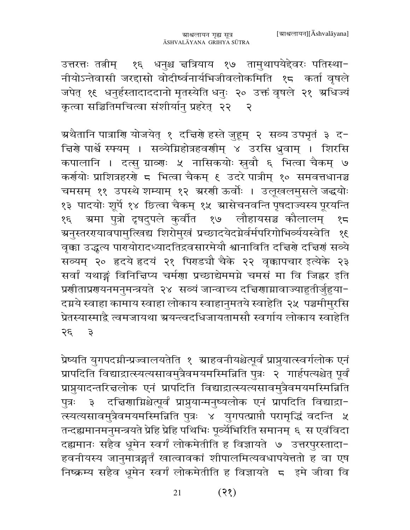उत्तरत्तः तत्नीम् १६ धनुश्च चत्रियाय १७ तामुथापयेद्देवरः पतिस्था-नीयोऽन्तेवासी जरद्दासो वोदीर्ष्वनार्यभिजीवलोकमिति १८ कर्ता वृषले जपेत् १६ धनुर्हस्तादाददानो मृतस्येति धनुः २० उक्तं वृषले २१ ग्रधिज्यं कृत्वा सञ्चितिमचित्वा संशीर्यान् प्रहरेत् २२ २

ग्रथैतानि पात्राणि योजयेत् १ दचिर्णे हस्ते जुहूम् २ सव्य उपभृतं ३ द− चिर्णे पार्श्वे स्फ्यम् । सव्येग्निहोत्रहवर्णीम् ४ उरसि ध्रुवाम् । शिरसि कपालानि । दत्सु ग्राव्णः ५ नासिकयोः स्रुवौ ६ भित्वा चैकम् ७ कर्णयोः प्राशित्रहरणे ८ भित्वा चैकम् ६ उदरे पात्रीम् १० समवत्तधानञ्च चमसम् ११ उपस्थे शम्याम् १२ ग्ररणी ऊर्वोः । उलूखलमुसले जद्धयोः १३ पादयोः शूर्पे १४ छित्वा चैकम् १५ स्रासेचनवन्ति पृषदाज्यस्य पूरयन्ति ग्रमा पुत्रो दृषदुपले कुर्वीत १७ लौहायसञ्च कौलालम् १८ १६ ग्रनुस्तररयावपामुत्खिद्य शिरोमुखं प्रच्छादयेदग्नेर्वर्मपरिगोभिर्व्ययस्वेति १६ वृक्का उद्धृत्य पार्ग्योरादध्यादतिद्रवसारमेयौ श्वानाविति दत्तिर्ग दत्तिर्गं सव्ये सव्यम् २० हृदये हृदयं २१ पिराडचौ चैके २२ वृक्कापचार इत्येके २३ सर्वां यथाङ्गं विनित्तिप्य चर्मणा प्रच्छाद्येममग्ने चमसं मा वि जिह्नर इति प्रणीताप्रगयनमनुमन्त्रयते २४ सव्यं जान्वाच्य दचिगाम्रावाज्याहुतीर्जुहुया− दग्नये स्वाहा कामाय स्वाहा लोकाय स्वाहानुमतये स्वाहेति २५ पञ्चमीमुरसि प्रेतस्यास्माद्वै त्वमजायथा ग्रयन्त्वदधिजायतामसौ स्वर्गाय लोकाय स्वाहेति २६ ३

प्रेष्यति युगपदग्नीन्प्रज्वालयतेति १ स्राहवनीयश्चेत्पूर्वं प्राप्नुयात्स्वर्गलोक एनं प्रापदिति विद्याद्रात्स्यत्यसावमुत्रैवमयमस्मिन्निति पुत्रः २ गार्हपत्यश्चेत् पूर्वं प्राप्नुयादन्तरित्तलोक एनं प्रापदिति विद्याद्रात्स्यत्यसावमुत्रैवमयमस्मिन्निति पुत्रः ३ दच्चिणाग्निश्चेत्पूर्वं प्राप्नुयान्मनुष्यलोक एनं प्रापदिति विद्याद्रा-त्स्यत्यसावमुत्रैवमयमस्मिन्निति पुत्रः ४ युगपत्प्राप्तौ परामृद्धिं वदन्ति ५ तन्दह्यमानमनुमन्त्रयते प्रेहि प्रेहि पथिभिः पूर्व्येभिरिति समानम् ६ स एवंविदा दह्यमानः सहैव धूमेन स्वर्गं लोकमेतीति ह विज्ञायते ७ उत्तरपुरस्तादा-हवनीयस्य जानुमात्रङ्गर्तं खात्वावकां शीपालमित्यवधापयेत्ततो ह वा एष निष्क्रम्य सहैव धूमेन स्वर्गं लोकमेतीति ह विज्ञायते 5 इमे जीवा वि

> $(35)$ 21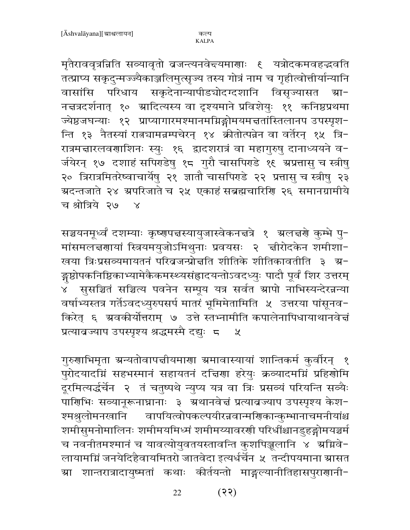मृतैराववृत्रन्निति सव्यावृतो बजन्त्यनवेन्दयमाणाः ६ यत्रोदकमवहद्भवति तत्प्राप्य सकृदुन्मज्ज्यैकाञ्जलिमुत्सृज्य तस्य गोत्रं नाम च गृहीत्वोत्तीर्यान्यानि वासांसि परिधाय सकृदेनान्यापीडचोदग्दशानि विसृज्यासत ग्रा-नचत्रदर्शनात् १० ग्रादित्यस्य वा दृश्यमाने प्रविशेयुः ११ कनिष्ठप्रथमा ज्येष्ठजघन्याः १२ प्राप्यागारमश्मानमग्निङ्गोमयमत्ततांस्तिलानप उपस्पृश-न्ति १३ नैतस्यां रात्न्यामन्नम्पचेरन् १४ क्रीतोत्पन्नेन वा वर्तेरन् १५ त्रि-रात्रमत्तारलवणाशिनः स्युः १६ द्वादशरात्रं वा महागुरुषु दानाध्ययने व-र्जयेरन् १७ दशाहं सपिराडेषु १८ गुरौ चासपिराडे १९ ग्रप्रतासु च स्त्रीषु २० त्रिरात्रमितरेष्वाचार्येषु २१ ज्ञातौ चासपिराडे २२ प्रतासु च स्त्रीषु २३ ग्रदन्तजाते २४ ग्रपरिजाते च २५ एकाहं सब्रह्मचारिणि २६ समानग्रामीये च श्रोत्रिये २७ ४

सञ्चयनमूर्ध्वं दशम्याः कृष्णपत्तस्यायुजास्वेकनत्तत्रे १ ग्रलत्तरो कुम्भे पु-मांसमलत्तरायां स्त्रियमयुजोऽमिथुनाः प्रवयसः २ त्तीरोदकेन शमीशा-खया त्रिःप्रसव्यमायतनं परिव्रजन्प्रोत्तति शीतिके शीतिकावतीति ३ ग्र-ङ्गष्ठोपकनिष्ठिकाभ्यामेकैकमस्थ्यसंहादयन्तोऽवदध्युः पादौ पूर्वं शिर उत्तरम् ४ँ सुसञ्चितं सञ्चित्य पवनेन सम्पूय यत्र सर्वत स्रापो नाभिस्यन्देरन्नन्या वर्षाभ्यस्तत्र गर्तेऽवदध्युरुपसर्प मातरं भूमिमेतामिति ५ उत्तरया पांसूनव− किरेत् ६ ग्रवकीर्योत्तराम् ७ उत्ते स्तभ्नामीति कपालेनापिधायाथानवेत्तं प्रत्यावज्याप उपस्पृश्य श्रद्धमस्मै दद्यः <del>८</del>  $\mathcal{Y}$ 

गुरुणाभिमृता ग्रन्यतोवापत्तीयमाणा ग्रमावास्यायां शान्तिकर्म कुर्वारन् १ पुरोदयादग्निं सहभस्मानं सहायतनं दच्चिणा हरेयुः क्रव्यादमग्निं प्रहिणोमि दूरमित्यर्द्धचेन २ तं चतुष्पथे न्युप्य यत्र वा त्रिः प्रसव्यं परियन्ति सव्यैः पार्णिभिः सव्यानूरूनाघ्रानाः ३ अथानवेत्तं प्रत्यावज्याप उपस्पृश्य केश-श्मश्रुलोमनखानि वापयित्वोपकल्पयीरन्नवान्मणिकान्कुम्भानाचमनीयांश्च शमीसुमनोमालिनः शमीमयमिध्मं शमीमय्यावरणी परिधींश्चानडुहङ्गोमयञ्चर्म च नवनीतमश्मानं च यावत्योयुवतयस्तावन्ति कुशपिञ्जूलानि ४ अग्निवे-लायामग्निं जनयेदिहैवायमितरो जातवेदा इत्यर्धर्चेन ५ तन्दीपयमाना स्रासत म्रा शान्तरात्रादायुष्मतां कथाः कीर्तयन्तो माङ्गल्यानीतिहासपुराणानी−

> $(35)$ 22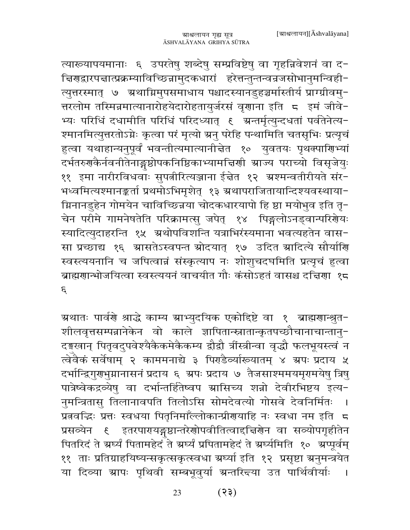त्यारूयापयमानाः ६ उपरतेषु शब्देषु सम्प्रविष्टेषु वा गृहन्निवेशनं वा द-चिरणद्वारपद्मात्प्रक्रम्याविच्छिन्नामुदकधारां हरेत्तन्तुन्तन्वन्रजसोभानुमन्विही-त्युत्तरस्मात् ७ अ्थाग्निमुपसमाधाय पश्चादस्यानडुहञ्चर्मास्तीर्य प्राग्ग्रीवमु-त्तरलोम तस्मिन्नमात्यानारोहयेदारोहतायुर्जरसं वृणाना इति 5 इमं जीवे-भ्यः परिधिं दधामीति परिधिं परिदध्यात् १ अन्तर्मृत्युन्दधतां पर्वतेनेत्य-श्मानमित्युत्तरतोऽग्नेः कृत्वा परं मृत्यो ग्रनु परेहि पन्थामिति चतसृभिः प्रत्यृचं हुत्वा यथाहान्यनुपूर्वं भवन्तीत्यमात्यानीचेत १० युवतयः पृथक्पाणिभ्यां दर्भतरुगकैर्नवनीतेनाङ्गष्ठोपकनिष्ठिकाभ्यामचिर्णा स्राज्य पराच्यो विसृजेयुः ११ इमा नारीरविधवाः सुपत्नीरित्यञ्जाना ईच्नेत १२ ग्रश्मन्वतीरीयते संर− भध्वमित्यश्मानङ्कर्ता प्रथमोऽभिमृशेत् १३ ग्रथापराजितायान्दिश्यवस्थाया-म्रिनानडुहेन गोमयेन चाविच्छिन्नया चोदकधारयापो हि ष्ठा मयोभुव इति तृ− चेन परीमे गामनेषतेति परिक्रामत्सु जपेत् १४ पिङ्गलोऽनड्वान्परिशेयः स्यादित्युदाहरन्ति १५ अथोपविशन्ति यत्राभिरंस्यमानां भवत्यहतेन वास-सा प्रच्छाद्य १६ ग्रासतेऽस्वपन्त स्रोदयात् १७ उदित स्रादित्ये सौर्याणि स्वस्त्ययनानि च जपित्वान्नं संस्कृत्याप नः शोशूचदघमिति प्रत्यृचं हत्वा ब्राह्मणान्भोजयित्वा स्वस्त्ययनं वाचयीत गौः कंसोऽहतं वासश्च दत्तिणा १८  $\mathcal{E}$ 

ग्रथातः पार्वरो श्राद्धे काम्य ग्राभ्युदयिक एकोद्दिष्टे वा १ ब्राह्मगान्श्रुत− शीलवृत्तसम्पन्नानेकेन वो काले ज्ञापितान्स्नातान्कृतपच्छौचानाचान्तानु-दङ्गखान् पितृवदुपवेश्यैकैकमेकैकम्य द्वौद्वौ त्रींस्त्रीन्वा वृद्धौ फलभूयस्त्वं न त्वेवैकं सर्वेषाम् २ काममनाद्ये ३ पिराडैव्यांख्यातम् ४ ग्रपः प्रदाय ५ दर्भान्द्रिगुराभुग्नानासनं प्रदाय ६ अपः प्रदाय ७ तैजसाश्ममयमृगमयेषु त्रिषु पात्रेष्वेकद्रव्येषु वा दर्भान्तर्हितेष्वप स्रासिच्य शन्नो देवीरभिष्टय इत्य-नुमन्त्रितासु तिलानावपति तिलोऽसि सोमदेवत्यो गोसवे देवनिर्मितः  $\overline{\phantom{a}}$ प्रतवद्धिः प्रत्तः स्वधया पितृनिमाँल्लोकान्प्रीरायाहि नः स्वधा नम इति 5 प्रसव्येन ६ इतरपारायङ्गुष्ठान्तरेणोपवीतित्वादचिरणेन वा सव्योपगृहीतेन पितरिदं ते ग्रर्घ्यं पितामहेदं ते ग्रर्घ्यं प्रपितामहेदं ते ग्रर्घ्यमिति १० ग्रप्पूर्वम् ११) ताः प्रतिग्राहयिष्यन्सकृत्सकृत्स्वधा ग्रर्घ्या इति १२) प्रसृष्टा ग्रनुमन्त्रयेत या दिव्या स्रापः पृथिवी सम्बभूवुर्या स्रन्तरि<del>द्</del>या उत पार्थिवीर्याः  $\sim$  1

> $(55)$ 23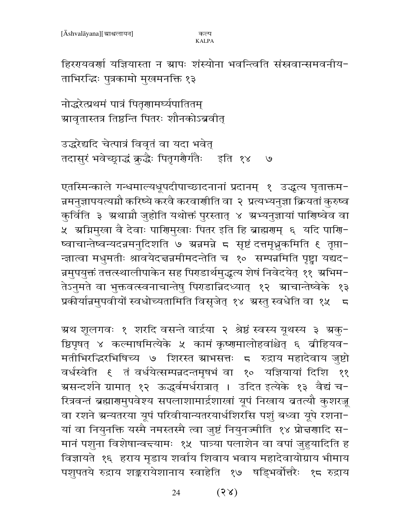कल्प **KALPA** 

हिररयवर्णा यज्ञियास्ता न ग्रापः शंस्योना भवन्त्विति संस्रवान्समवनीय-ताभिरद्धिः पुत्रकामो मुखमनक्ति १३

नोद्धरेत्प्रथमं पात्रं पितृणामर्घ्यपातितम् ग्रावृतास्तत्र तिष्ठन्ति पितरः शौनकोऽब्रवीत्

उद्धरेद्यदि चेत्पात्रं विवृतं वा यदा भवेत् तदासुरं भवेच्छ्राद्धं क्रुद्धैः पितृगरौर्गतैः इति १४ ७

एतस्मिन्काले गन्धमाल्यधूपदीपाच्छादनानां प्रदानम् १ उद्धृत्य घृताक्तम-न्नमनुज्ञापयत्यग्नौ करिष्ये करवै करवाणीति वा २ प्रत्यभ्यनुज्ञा क्रियतां कुरुष्व कुर्विति ३ अथाम्रौ जुहोति यथोक्तं पुरस्तात् ४ अभ्यनुज्ञायां पाणिष्वेव वा ४ अमिमुखा वै देवाः पाणिमुखाः पितर इति हि ब्राह्मणम् ६ यदि पाणि− न्ज्ञात्वा मधुमतीः श्रावयेदच्चन्नमीमदन्तेति च १० सम्पन्नमिति पृष्ट्वा यद्यद-न्नमुपयुक्तं तत्तत्स्थालीपाकेन सह पिराडार्थमुद्धत्य शेषं निवेदयेत् ११ अभिम− तेऽनुमते वा भुक्तवत्स्वनाचान्तेषु पिराडान्निदध्यात् १२ ग्राचान्तेष्वेके १३ प्रकीर्यान्नमुपवीयों स्वधोच्यतामिति विसृजेत् १४ अस्तु स्वधेति वा १५  $\overline{5}$ 

ग्रथ शूलगवः १ शरदि वसन्ते वार्द्रया २ श्रेष्ठं स्वस्य यूथस्य ३ ग्रक्-ष्ठिपृषत् ४ कल्माषमित्येके ५ कामं कृष्णमालोहवांश्चेत् ६ व्रीहियव− मतीभिरद्धिरभिषिच्य ७ शिरस्त स्राभसत्तः ८ रुद्राय महादेवाय जुष्टो ११ ग्रसन्दर्शने ग्रामात् १२ ऊद्धर्वमर्धरात्रात् । उदित इत्येके १३ वैद्यं च-रित्रवन्तं ब्रह्मारामुपवेश्य सपलाशामार्द्रशाखां यूपं निखाय बतत्यौ कुशरज्जू वा रशने ग्रन्यतरया यूपं परिवीयान्यतरयार्धशिरसि पशुं बध्वा यूपे रशना-यां वा नियुनक्ति यस्मै नमस्तस्मै त्वा जुष्टं नियुनज्मीति १४ प्रोन्नणादि स-मानं पशुना विशेषान्वद्त्यामः १५ पात्र्या पलाशेन वा वपां जुहुयादिति ह विज्ञायते १६ हराय मृडाय शर्वाय शिवाय भवाय महादेवायोग्राय भीमाय पशुपतये रुद्राय शङ्करायेशानाय स्वाहेति १७ षड्भिर्वोत्तरैः १८ रुद्राय

> $(38)$ 24